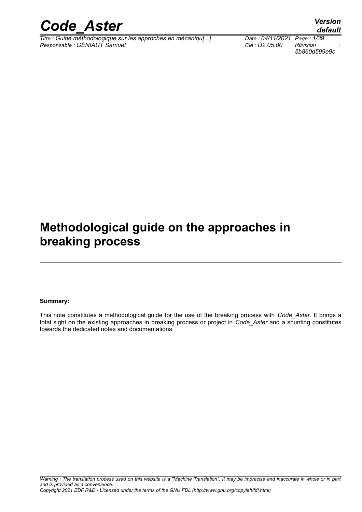

*Titre : Guide méthodologique sur les approches en mécaniqu[...] Date : 04/11/2021 Page : 1/39 Responsable : GÉNIAUT Samuel Clé : U2.05.00 Révision :*

*5b860d599e9c*

## *default*

## **Methodological guide on the approaches in breaking process**

#### **Summary:**

This note constitutes a methodological guide for the use of the breaking process with *Code\_Aster*. It brings a total sight on the existing approaches in breaking process or project in *Code\_Aster* and a shunting constitutes towards the dedicated notes and documentations.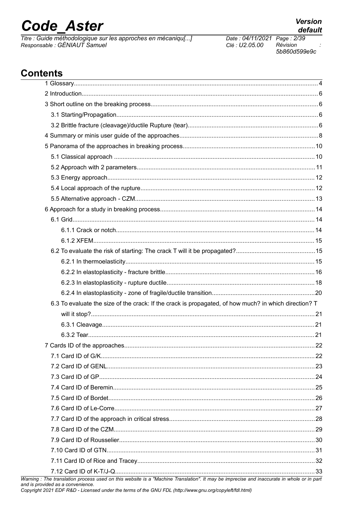# **Code Aster**

Titre : Guide méthodologique sur les approches en mécaniqu[...] Responsable : GÉNIAUT Samuel

Date: 04/11/2021 Page: 2/39 Clé : U2.05.00 Révision 5b860d599e9c

## **Contents**

| 6.3 To evaluate the size of the crack: If the crack is propagated, of how much? in which direction? T                                                                          |  |
|--------------------------------------------------------------------------------------------------------------------------------------------------------------------------------|--|
|                                                                                                                                                                                |  |
|                                                                                                                                                                                |  |
|                                                                                                                                                                                |  |
|                                                                                                                                                                                |  |
|                                                                                                                                                                                |  |
|                                                                                                                                                                                |  |
|                                                                                                                                                                                |  |
|                                                                                                                                                                                |  |
|                                                                                                                                                                                |  |
|                                                                                                                                                                                |  |
|                                                                                                                                                                                |  |
|                                                                                                                                                                                |  |
|                                                                                                                                                                                |  |
|                                                                                                                                                                                |  |
|                                                                                                                                                                                |  |
|                                                                                                                                                                                |  |
| Warning : The translation process used on this website is a "Machine Translation". It may be imprecise and inaccurate in whole or in part<br>and is provided as a convenience. |  |

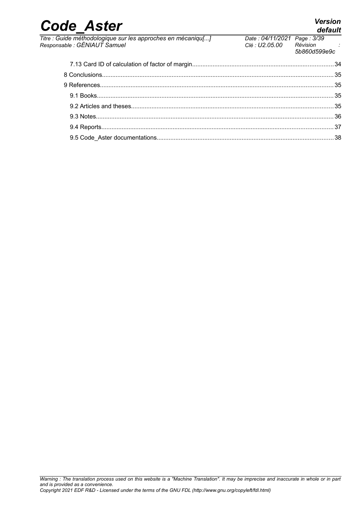| <b>Code Aster</b>                                                                            |                                              | <b>Version</b><br>default |
|----------------------------------------------------------------------------------------------|----------------------------------------------|---------------------------|
| Titre : Guide méthodologique sur les approches en mécaniqu[]<br>Responsable : GÉNIAUT Samuel | Date: 04/11/2021 Page: 3/39<br>Clé: U2.05.00 | Révision<br>5b860d599e9c  |
|                                                                                              |                                              |                           |
|                                                                                              |                                              |                           |
|                                                                                              |                                              |                           |
|                                                                                              |                                              |                           |
|                                                                                              |                                              |                           |
|                                                                                              |                                              |                           |
|                                                                                              |                                              |                           |
|                                                                                              |                                              |                           |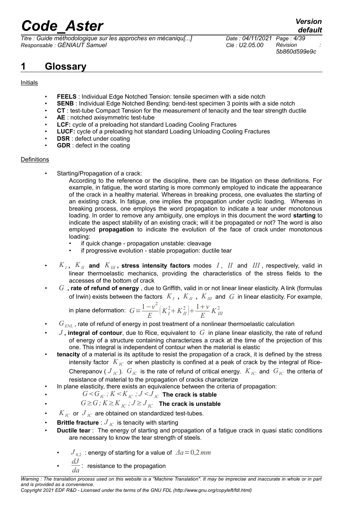*Titre : Guide méthodologique sur les approches en mécaniqu[...] Date : 04/11/2021 Page : 4/39 Responsable : GÉNIAUT Samuel Clé : U2.05.00 Révision :*

*5b860d599e9c*

## **1 Glossary**

#### **Initials**

- **FEELS** : Individual Edge Notched Tension: tensile specimen with a side notch
- **SENB** : Individual Edge Notched Bending: bend-test specimen 3 points with a side notch
- **CT** : test-tube Compact Tension for the measurement of tenacity and the tear strength ductile
- **AE** : notched axisymmetric test-tube
- **LCF:** cycle of a preloading hot standard Loading Cooling Fractures
- **LUCF:** cycle of a preloading hot standard Loading Unloading Cooling Fractures
- **DSR** : defect under coating
- **GDR** : defect in the coating

#### **Definitions**

Starting/Propagation of a crack:

According to the reference or the discipline, there can be litigation on these definitions. For example, in fatigue, the word starting is more commonly employed to indicate the appearance of the crack in a healthy material. Whereas in breaking process, one evaluates the starting of an existing crack. In fatigue, one implies the propagation under cyclic loading. Whereas in breaking process, one employs the word propagation to indicate a tear under monotonous loading. In order to remove any ambiguity, one employs in this document the word **starting** to indicate the aspect stability of an existing crack; will it be propagated or not? The word is also employed **propagation** to indicate the evolution of the face of crack under monotonous loading:

- if quick change propagation unstable: cleavage
- if progressive evolution stable propagation: ductile tear
- *K<sup>I</sup>* **,** *KII* **and** *KIII* **, stress intensity factors** modes *I* , *II* and *III* , respectively, valid in linear thermoelastic mechanics, providing the characteristics of the stress fields to the accesses of the bottom of crack
- *G* **, rate of refund of energy** , due to Griffith, valid in or not linear linear elasticity. A link (formulas of Irwin) exists between the factors  $\ K_{I}$  ,  $\ K_{I\!I}$  ,  $\ K_{I\!I\!I}$  and  $\ G$  in linear elasticity. For example,

in plane deformation: 
$$
G = \frac{1 - v^2}{E} \left( K_I^2 + K_{II}^2 \right) + \frac{1 + v}{E} K_{III}^2
$$

- $G_{\text{\tiny{ENL}}}$  , rate of refund of energy in post treatment of a nonlinear thermoelastic calculation
- $J$ , integral of contour, due to Rice, equivalent to  $G$  in plane linear elasticity, the rate of refund of energy of a structure containing characterizes a crack at the time of the projection of this one. This integral is independent of contour when the material is elastic
- **tenacity** of a material is its aptitude to resist the propagation of a crack, it is defined by the stress intensity factor  $K_{IC}$  or when plasticity is confined at a peak of crack by the integral of Rice-Cherepanov (  $J_{IC}$ ).  $G_{IC}$  is the rate of refund of critical energy.  $K_{IC}$  and  $G_{IC}$  the criteria of resistance of material to the propagation of cracks characterize
- In plane elasticity, there exists an equivalence between the criteria of propagation:
- $G < G<sub>IC</sub>$ ;  $K < K<sub>IC</sub>$ ;  $J < J<sub>IC</sub>$  The crack is stable
- $G \geq G$ ;  $K \geq K$ <sub>*IC</sub>*;  $J \geq J$ <sub>*IC*</sub> The crack is unstable</sub>
- $K_{IC}$  or  $J_{IC}$  are obtained on standardized test-tubes.
- **Brittle fracture** :  $J_{IC}$  is tenacity with starting
- **Ductile tear** : The energy of starting and propagation of a fatigue crack in quasi static conditions are necessary to know the tear strength of steels.
	- $J_{02}$ : energy of starting for a value of  $\Delta a = 0.2$ *mm*
	- $\frac{dJ}{da}$ : resistance to the propagation

*Copyright 2021 EDF R&D - Licensed under the terms of the GNU FDL (http://www.gnu.org/copyleft/fdl.html)*

*Warning : The translation process used on this website is a "Machine Translation". It may be imprecise and inaccurate in whole or in part and is provided as a convenience.*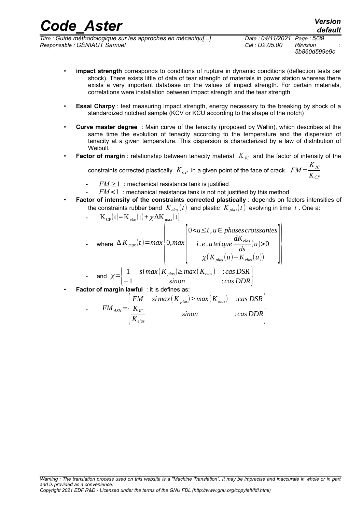*Titre : Guide méthodologique sur les approches en mécaniqu[...] Date : 04/11/2021 Page : 5/39 Responsable : GÉNIAUT Samuel Clé : U2.05.00 Révision :*

*5b860d599e9c*

*default*

- **impact strength** corresponds to conditions of rupture in dynamic conditions (deflection tests per shock). There exists little of data of tear strength of materials in power station whereas there exists a very important database on the values of impact strength. For certain materials, correlations were installation between impact strength and the tear strength
- **Essai Charpy** : test measuring impact strength, energy necessary to the breaking by shock of a standardized notched sample (KCV or KCU according to the shape of the notch)
- **Curve master degree** : Main curve of the tenacity (proposed by Wallin), which describes at the same time the evolution of tenacity according to the temperature and the dispersion of tenacity at a given temperature. This dispersion is characterized by a law of distribution of Weibull.
- **Factor of margin** : relationship between tenacity material  $K_{IC}$  and the factor of intensity of the

constraints corrected plastically  $\ K_{\it CP}$  in a given point of the face of crack.  $\ FM=$ *KIC KCP*

- $FM \geq 1$ : mechanical resistance tank is justified
- $FM < 1$ : mechanical resistance tank is not not justified by this method
- **Factor of intensity of the constraints corrected plastically** : depends on factors intensities of the constraints rubber band  $K_{elas}(t)$  and plastic  $K_{plas}(t)$  evolving in time  $t$ . One a:

- 
$$
K_{CP}(t)=K_{elas}(t)+\chi\Delta K_{max}(t)
$$
  
\n- where  $\Delta K_{max}(t)=max\begin{cases} 00 \\ \chi(K_{plas}(u)-K_{elas}(u)) \\ - \text{ and } \chi=\begin{cases} 1 & \text{sinax}(K_{plas})\geq max(K_{elas}) & \text{cos} DSR \\ -1 & \text{sinon} \end{cases} \end{cases}$ 

**Factor of margin lawful** : it is defines as:

$$
F M_{ASN} = \begin{pmatrix} FM & sinmax(K_{plas}) \ge max(K_{elas}) & :cas DSR \\ K_{IC} & sinon & :cas DDR \end{pmatrix}
$$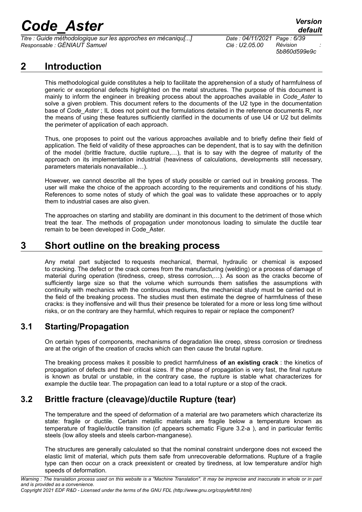*Titre : Guide méthodologique sur les approches en mécaniqu[...] Date : 04/11/2021 Page : 6/39 Responsable : GÉNIAUT Samuel Clé : U2.05.00 Révision :*

*5b860d599e9c*

## **2 Introduction**

This methodological guide constitutes a help to facilitate the apprehension of a study of harmfulness of generic or exceptional defects highlighted on the metal structures. The purpose of this document is mainly to inform the engineer in breaking process about the approaches available in *Code\_Aster* to solve a given problem. This document refers to the documents of the U2 type in the documentation base of *Code\_Aster* ; IL does not point out the formulations detailed in the reference documents R, nor the means of using these features sufficiently clarified in the documents of use U4 or U2 but delimits the perimeter of application of each approach.

Thus, one proposes to point out the various approaches available and to briefly define their field of application. The field of validity of these approaches can be dependent, that is to say with the definition of the model (brittle fracture, ductile rupture,…), that is to say with the degree of maturity of the approach on its implementation industrial (heaviness of calculations, developments still necessary, parameters materials nonavailable…).

However, we cannot describe all the types of study possible or carried out in breaking process. The user will make the choice of the approach according to the requirements and conditions of his study. References to some notes of study of which the goal was to validate these approaches or to apply them to industrial cases are also given.

The approaches on starting and stability are dominant in this document to the detriment of those which treat the tear. The methods of propagation under monotonous loading to simulate the ductile tear remain to be been developed in Code Aster.

### **3 Short outline on the breaking process**

Any metal part subjected to requests mechanical, thermal, hydraulic or chemical is exposed to cracking. The defect or the crack comes from the manufacturing (welding) or a process of damage of material during operation (tiredness, creep, stress corrosion,…). As soon as the cracks become of sufficiently large size so that the volume which surrounds them satisfies the assumptions with continuity with mechanics with the continuous mediums, the mechanical study must be carried out in the field of the breaking process. The studies must then estimate the degree of harmfulness of these cracks: is they inoffensive and will thus their presence be tolerated for a more or less long time without risks, or on the contrary are they harmful, which requires to repair or replace the component?

### **3.1 Starting/Propagation**

On certain types of components, mechanisms of degradation like creep, stress corrosion or tiredness are at the origin of the creation of cracks which can then cause the brutal rupture.

The breaking process makes it possible to predict harmfulness **of an existing crack** : the kinetics of propagation of defects and their critical sizes. If the phase of propagation is very fast, the final rupture is known as brutal or unstable, in the contrary case, the rupture is stable what characterizes for example the ductile tear. The propagation can lead to a total rupture or a stop of the crack.

### **3.2 Brittle fracture (cleavage)/ductile Rupture (tear)**

The temperature and the speed of deformation of a material are two parameters which characterize its state: fragile or ductile. Certain metallic materials are fragile below a temperature known as temperature of fragile/ductile transition (cf appears schematic [Figure 3.2-a \)](#page-6-0), and in particular ferritic steels (low alloy steels and steels carbon-manganese).

The structures are generally calculated so that the nominal constraint undergone does not exceed the elastic limit of material, which puts them safe from unrecoverable deformations. Rupture of a fragile type can then occur on a crack preexistent or created by tiredness, at low temperature and/or high speeds of deformation.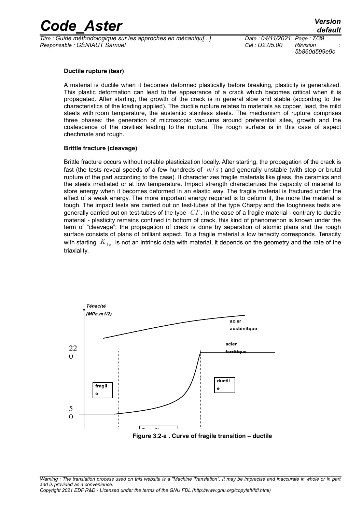*Titre : Guide méthodologique sur les approches en mécaniqu[...] Date : 04/11/2021 Page : 7/39 Responsable : GÉNIAUT Samuel Clé : U2.05.00 Révision :*

*5b860d599e9c*

#### **Ductile rupture (tear)**

A material is ductile when it becomes deformed plastically before breaking, plasticity is generalized. This plastic deformation can lead to the appearance of a crack which becomes critical when it is propagated. After starting, the growth of the crack is in general slow and stable (according to the characteristics of the loading applied). The ductile rupture relates to materials as copper, lead, the mild steels with room temperature, the austenitic stainless steels. The mechanism of rupture comprises three phases: the generation of microscopic vacuums around preferential sites, growth and the coalescence of the cavities leading to the rupture. The rough surface is in this case of aspect chechmate and rough.

#### **Brittle fracture (cleavage)**

Brittle fracture occurs without notable plasticization locally. After starting, the propagation of the crack is fast (the tests reveal speeds of a few hundreds of *m*/*s* ) and generally unstable (with stop or brutal rupture of the part according to the case). It characterizes fragile materials like glass, the ceramics and the steels irradiated or at low temperature. Impact strength characterizes the capacity of material to store energy when it becomes deformed in an elastic way. The fragile material is fractured under the effect of a weak energy. The more important energy required is to deform it, the more the material is tough. The impact tests are carried out on test-tubes of the type Charpy and the toughness tests are generally carried out on test-tubes of the type *CT* . In the case of a fragile material - contrary to ductile material - plasticity remains confined in bottom of crack, this kind of phenomenon is known under the term of "cleavage": the propagation of crack is done by separation of atomic plans and the rough surface consists of plans of brilliant aspect. To a fragile material a low tenacity corresponds. Tenacity with starting  $K_{1c}$  is not an intrinsic data with material, it depends on the geometry and the rate of the triaxiality.

<span id="page-6-0"></span>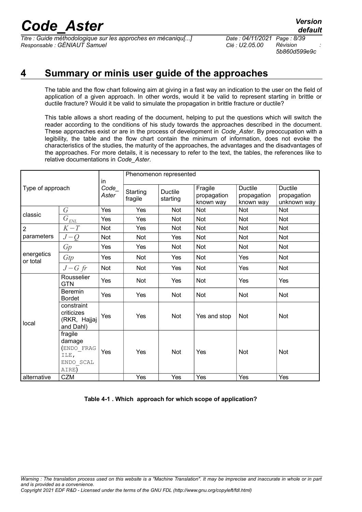*Titre : Guide méthodologique sur les approches en mécaniqu[...] Date : 04/11/2021 Page : 8/39 Responsable : GÉNIAUT Samuel Clé : U2.05.00 Révision :*

*5b860d599e9c*

## **4 Summary or minis user guide of the approaches**

The table and the flow chart following aim at giving in a fast way an indication to the user on the field of application of a given approach. In other words, would it be valid to represent starting in brittle or ductile fracture? Would it be valid to simulate the propagation in brittle fracture or ductile?

This table allows a short reading of the document, helping to put the questions which will switch the reader according to the conditions of his study towards the approaches described in the document. These approaches exist or are in the process of development in *Code\_Aster*. By preoccupation with a legibility, the table and the flow chart contain the minimum of information, does not evoke the characteristics of the studies, the maturity of the approaches, the advantages and the disadvantages of the approaches. For more details, it is necessary to refer to the text, the tables, the references like to relative documentations in *Code\_Aster*.

| Type of approach       |                                                               | in               | Phenomenon represented |                            |                                     |                                            |                                              |
|------------------------|---------------------------------------------------------------|------------------|------------------------|----------------------------|-------------------------------------|--------------------------------------------|----------------------------------------------|
|                        |                                                               | $Code_$<br>Aster | Starting<br>fragile    | <b>Ductile</b><br>starting | Fragile<br>propagation<br>known way | <b>Ductile</b><br>propagation<br>known way | <b>Ductile</b><br>propagation<br>unknown way |
|                        | $\overline{G}$                                                | Yes              | Yes                    | <b>Not</b>                 | Not                                 | Not                                        | <b>Not</b>                                   |
| classic                | $\bar{G}_{\underline{\it ENL}}$                               | Yes              | Yes                    | <b>Not</b>                 | Not                                 | Not                                        | Not                                          |
| $\overline{2}$         | $K-T$                                                         | Not              | Yes                    | <b>Not</b>                 | Not                                 | <b>Not</b>                                 | Not                                          |
| parameters             | $J-Q$                                                         | <b>Not</b>       | Not                    | Yes                        | Not                                 | Not                                        | Not                                          |
|                        | Gp                                                            | Yes              | Yes                    | Not                        | <b>Not</b>                          | Not                                        | Not                                          |
| energetics<br>or total | Gtp                                                           | Yes              | Not                    | Yes                        | Not                                 | Yes                                        | Not                                          |
|                        | $J-G$ fr                                                      | Not              | Not                    | Yes                        | Not                                 | Yes                                        | Not                                          |
|                        | Rousselier<br><b>GTN</b>                                      | Yes              | Not                    | Yes                        | Not                                 | Yes                                        | Yes                                          |
|                        | <b>Beremin</b><br><b>Bordet</b>                               | Yes              | Yes                    | <b>Not</b>                 | Not                                 | <b>Not</b>                                 | <b>Not</b>                                   |
| local                  | constraint<br>criticizes<br>(RKR, Hajjaj<br>and Dahl)         | Yes              | Yes                    | <b>Not</b>                 | Yes and stop                        | Not                                        | <b>Not</b>                                   |
|                        | fragile<br>damage<br>(ENDO FRAG<br>ILE,<br>ENDO SCAL<br>AIRE) | Yes              | Yes                    | <b>Not</b>                 | Yes                                 | <b>Not</b>                                 | <b>Not</b>                                   |
| alternative            | CZM                                                           |                  | Yes                    | Yes                        | Yes                                 | Yes                                        | Yes                                          |

**Table 4-1 . Which approach for which scope of application?**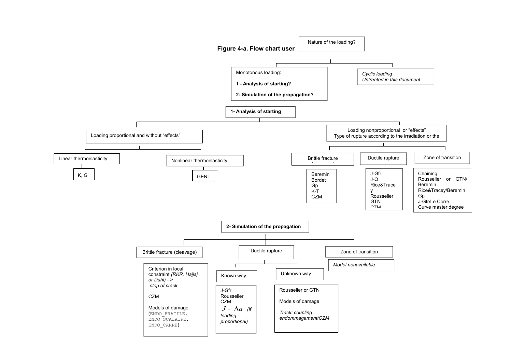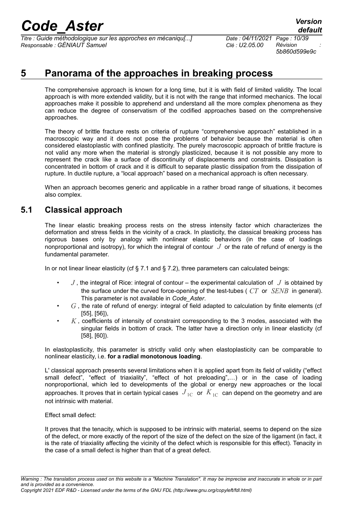*Titre : Guide méthodologique sur les approches en mécaniqu[...] Date : 04/11/2021 Page : 10/39 Responsable : GÉNIAUT Samuel Clé : U2.05.00 Révision :*

<span id="page-9-0"></span>*5b860d599e9c*

### **5 Panorama of the approaches in breaking process**

The comprehensive approach is known for a long time, but it is with field of limited validity. The local approach is with more extended validity, but it is not with the range that informed mechanics. The local approaches make it possible to apprehend and understand all the more complex phenomena as they can reduce the degree of conservatism of the codified approaches based on the comprehensive approaches.

The theory of brittle fracture rests on criteria of rupture "comprehensive approach" established in a macroscopic way and it does not pose the problems of behavior because the material is often considered elastoplastic with confined plasticity. The purely macroscopic approach of brittle fracture is not valid any more when the material is strongly plasticized, because it is not possible any more to represent the crack like a surface of discontinuity of displacements and constraints. Dissipation is concentrated in bottom of crack and it is difficult to separate plastic dissipation from the dissipation of rupture. In ductile rupture, a "local approach" based on a mechanical approach is often necessary.

When an approach becomes generic and applicable in a rather broad range of situations, it becomes also complex.

#### **5.1 Classical approach**

The linear elastic breaking process rests on the stress intensity factor which characterizes the deformation and stress fields in the vicinity of a crack. In plasticity, the classical breaking process has rigorous bases only by analogy with nonlinear elastic behaviors (in the case of loadings nonproportional and isotropy), for which the integral of contour *J* or the rate of refund of energy is the fundamental parameter.

In or not linear linear elasticity (cf  $\S$  [7.1](#page-21-0) and  $\S$  [7.2\)](#page-22-0), three parameters can calculated beings:

- $J$ , the integral of Rice: integral of contour the experimental calculation of  $J$  is obtained by the surface under the curved force-opening of the test-tubes ( *CT* or *SENB* in general). This parameter is not available in *Code\_Aster*.
- *G* , the rate of refund of energy: integral of field adapted to calculation by finite elements (cf [\[55\]](#page-37-3), [\[56\]](#page-37-2)),
- *K* , coefficients of intensity of constraint corresponding to the 3 modes, associated with the singular fields in bottom of crack. The latter have a direction only in linear elasticity (cf [\[58\]](#page-37-1), [\[60\]](#page-37-0)).

In elastoplasticity, this parameter is strictly valid only when elastoplasticity can be comparable to nonlinear elasticity, i.e. **for a radial monotonous loading**.

L' classical approach presents several limitations when it is applied apart from its field of validity ("effect small defect", "effect of triaxiality", "effect of hot preloading",...) or in the case of loading nonproportional, which led to developments of the global or energy new approaches or the local approaches. It proves that in certain typical cases  $J_{1C}$  or  $K_{1C}$  can depend on the geometry and are not intrinsic with material.

#### Effect small defect:

It proves that the tenacity, which is supposed to be intrinsic with material, seems to depend on the size of the defect, or more exactly of the report of the size of the defect on the size of the ligament (in fact, it is the rate of triaxiality affecting the vicinity of the defect which is responsible for this effect). Tenacity in the case of a small defect is higher than that of a great defect.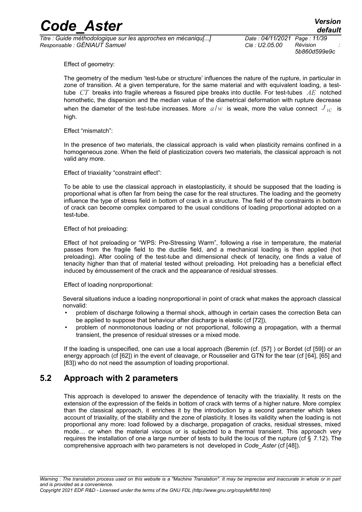*Titre : Guide méthodologique sur les approches en mécaniqu[...] Date : 04/11/2021 Page : 11/39 Responsable : GÉNIAUT Samuel Clé : U2.05.00 Révision :*

*5b860d599e9c*

Effect of geometry:

The geometry of the medium 'test-tube or structure' influences the nature of the rupture, in particular in zone of transition. At a given temperature, for the same material and with equivalent loading, a testtube *CT* breaks into fragile whereas a fissured pipe breaks into ductile. For test-tubes *AE* notched homothetic, the dispersion and the median value of the diametrical deformation with rupture decrease when the diameter of the test-tube increases. More  $a/w$  is weak, more the value connect  $J_{1C}$  is high.

#### Effect "mismatch":

In the presence of two materials, the classical approach is valid when plasticity remains confined in a homogeneous zone. When the field of plasticization covers two materials, the classical approach is not valid any more.

Effect of triaxiality "constraint effect":

To be able to use the classical approach in elastoplasticity, it should be supposed that the loading is proportional what is often far from being the case for the real structures. The loading and the geometry influence the type of stress field in bottom of crack in a structure. The field of the constraints in bottom of crack can become complex compared to the usual conditions of loading proportional adopted on a test-tube.

#### Effect of hot preloading:

Effect of hot preloading or "WPS: Pre-Stressing Warm", following a rise in temperature, the material passes from the fragile field to the ductile field, and a mechanical loading is then applied (hot preloading). After cooling of the test-tube and dimensional check of tenacity, one finds a value of tenacity higher than that of material tested without preloading. Hot preloading has a beneficial effect induced by émoussement of the crack and the appearance of residual stresses.

#### Effect of loading nonproportional:

Several situations induce a loading nonproportional in point of crack what makes the approach classical nonvalid:

- problem of discharge following a thermal shock, although in certain cases the correction Beta can be applied to suppose that behaviour after discharge is elastic (cf [\[72\]](#page-37-9)),
- problem of nonmonotonous loading or not proportional, following a propagation, with a thermal transient, the presence of residual stresses or a mixed mode.

If the loading is unspecified, one can use a local approach (Beremin (cf. [\[57\]](#page-37-8) ) or Bordet (cf [\[59\]](#page-37-7)) or an energy approach (cf [\[62\]](#page-37-6)) in the event of cleavage, or Rousselier and GTN for the tear (cf [[64\]](#page-37-5), [\[65\]](#page-37-4) and [\[83\]\)](#page-38-0) who do not need the assumption of loading proportional.

### **5.2 Approach with 2 parameters**

This approach is developed to answer the dependence of tenacity with the triaxiality. It rests on the extension of the expression of the fields in bottom of crack with terms of a higher nature. More complex than the classical approach, it enriches it by the introduction by a second parameter which takes account of triaxiality, of the stability and the zone of plasticity. It loses its validity when the loading is not proportional any more: load followed by a discharge, propagation of cracks, residual stresses, mixed mode… or when the material viscous or is subjected to a thermal transient. This approach very requires the installation of one a large number of tests to build the locus of the rupture (cf § [7.12\)](#page-32-0). The comprehensive approach with two parameters is not developed in *Code\_Aster* (cf [\[48\]](#page-36-0)).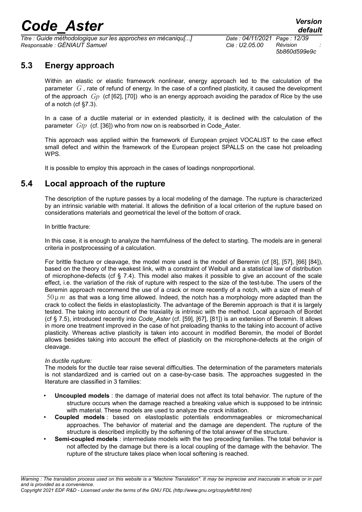*Titre : Guide méthodologique sur les approches en mécaniqu[...] Date : 04/11/2021 Page : 12/39 Responsable : GÉNIAUT Samuel Clé : U2.05.00 Révision :*

*5b860d599e9c*

### **5.3 Energy approach**

Within an elastic or elastic framework nonlinear, energy approach led to the calculation of the parameter *G* , rate of refund of energy. In the case of a confined plasticity, it caused the development of the approach *Gp* (cf [\[62\]](#page-37-6), [\[70\]](#page-37-12)) who is an energy approach avoiding the paradox of Rice by the use of a notch (cf [§7.3\)](#page-23-0).

In a case of a ductile material or in extended plasticity, it is declined with the calculation of the parameter *Gtp* (cf. [\[36\]\)](#page-36-1) who from now on is reabsorbed in Code\_Aster.

This approach was applied within the framework of European project VOCALIST to the case effect small defect and within the framework of the European project SPALLS on the case hot preloading WPS.

It is possible to employ this approach in the cases of loadings nonproportional.

### **5.4 Local approach of the rupture**

The description of the rupture passes by a local modeling of the damage. The rupture is characterized by an intrinsic variable with material. It allows the definition of a local criterion of the rupture based on considerations materials and geometrical the level of the bottom of crack.

In brittle fracture:

In this case, it is enough to analyze the harmfulness of the defect to starting. The models are in general criteria in postprocessing of a calculation.

For brittle fracture or cleavage, the model more used is the model of Beremin (cf [\[8\]](#page-34-0), [\[57\],](#page-37-8) [\[66\]](#page-37-11) [\[84\]\)](#page-38-2), based on the theory of the weakest link, with a constraint of Weibull and a statistical law of distribution of microphone-defects (cf § [7.4\)](#page-24-0). This model also makes it possible to give an account of the scale effect, i.e. the variation of the risk of rupture with respect to the size of the test-tube. The users of the Beremin approach recommend the use of a crack or more recently of a notch, with a size of mesh of  $50 \mu m$  as that was a long time allowed. Indeed, the notch has a morphology more adapted than the crack to collect the fields in elastoplasticity. The advantage of the Beremin approach is that it is largely tested. The taking into account of the triaxiality is intrinsic with the method. Local approach of Bordet (cf § [7.5\)](#page-25-0), introduced recently into *Code\_Aster* (cf. [\[59\]](#page-37-7), [\[67\]](#page-37-10), [\[81\]](#page-38-1)) is an extension of Beremin. It allows in more one treatment improved in the case of hot preloading thanks to the taking into account of active plasticity. Whereas active plasticity is taken into account in modified Beremin, the model of Bordet allows besides taking into account the effect of plasticity on the microphone-defects at the origin of cleavage.

#### *In ductile rupture:*

The models for the ductile tear raise several difficulties. The determination of the parameters materials is not standardized and is carried out on a case-by-case basis. The approaches suggested in the literature are classified in 3 families:

- **Uncoupled models** : the damage of material does not affect its total behavior. The rupture of the structure occurs when the damage reached a breaking value which is supposed to be intrinsic with material. These models are used to analyze the crack initiation.
- **Coupled models** : based on elastoplastic potentials endommageables or micromechanical approaches. The behavior of material and the damage are dependent. The rupture of the structure is described implicitly by the softening of the total answer of the structure.
- **Semi-coupled models** : intermediate models with the two preceding families. The total behavior is not affected by the damage but there is a local coupling of the damage with the behavior. The rupture of the structure takes place when local softening is reached.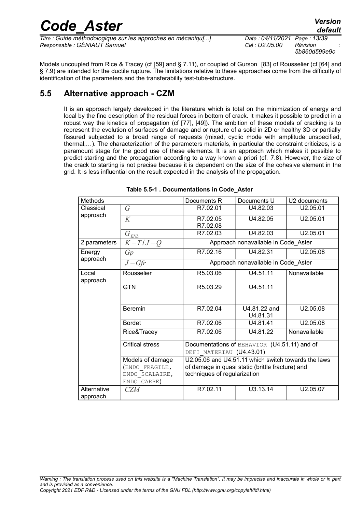| <b>Code Aster</b> | <b>Version</b> |
|-------------------|----------------|
|                   | default        |

*Titre : Guide méthodologique sur les approches en mécaniqu[...] Date : 04/11/2021 Page : 13/39 Responsable : GÉNIAUT Samuel Clé : U2.05.00 Révision :*

*5b860d599e9c*

Models uncoupled from Rice & Tracey (cf [\[59\]](#page-37-7) and § [7.11\)](#page-31-0), or coupled of Gurson [\[83\]](#page-38-0) of Rousselier (cf [\[64\]](#page-37-5) and § [7.9\)](#page-29-0) are intended for the ductile rupture. The limitations relative to these approaches come from the difficulty of identification of the parameters and the transferability test-tube-structure.

### **5.5 Alternative approach - CZM**

It is an approach largely developed in the literature which is total on the minimization of energy and local by the fine description of the residual forces in bottom of crack. It makes it possible to predict in a robust way the kinetics of propagation (cf [\[77\]](#page-38-3), [\[49\]](#page-36-2)). The ambition of these models of cracking is to represent the evolution of surfaces of damage and or rupture of a solid in 2D or healthy 3D or partially fissured subjected to a broad range of requests (mixed, cyclic mode with amplitude unspecified, thermal,…). The characterization of the parameters materials, in particular the constraint criticizes, is a paramount stage for the good use of these elements. It is an approach which makes it possible to predict starting and the propagation according to a way known a priori (cf. [7.8\)](#page-28-0). However, the size of the crack to starting is not precise because it is dependent on the size of the cohesive element in the grid. It is less influential on the result expected in the analysis of the propagation.

| Methods      |                        | Documents R                                         | Documents U                         | U <sub>2</sub> documents |  |  |
|--------------|------------------------|-----------------------------------------------------|-------------------------------------|--------------------------|--|--|
| Classical    | $\sqrt{G}$             | R7.02.01                                            | U4.82.03                            | U2.05.01                 |  |  |
| approach     | K                      | R7.02.05                                            | U4.82.05                            | U2.05.01                 |  |  |
|              |                        | R7.02.08                                            |                                     |                          |  |  |
|              | $G_{\text{EML}}$       | R7.02.03                                            | U4.82.03                            | U2.05.01                 |  |  |
| 2 parameters | $K-T/J-Q$              |                                                     | Approach nonavailable in Code Aster |                          |  |  |
| Energy       | Gp                     | R7.02.16                                            | U4.82.31                            | U2.05.08                 |  |  |
| approach     | $J-Gfr$                | Approach nonavailable in Code Aster                 |                                     |                          |  |  |
| Local        | Rousselier             | R5.03.06                                            | U4.51.11                            | Nonavailable             |  |  |
| approach     | <b>GTN</b>             | R <sub>5.03.29</sub>                                | U4.51.11                            |                          |  |  |
|              |                        |                                                     |                                     |                          |  |  |
|              |                        |                                                     |                                     |                          |  |  |
|              | <b>Beremin</b>         | R7.02.04                                            | U4.81.22 and<br>U4.81.31            | U2.05.08                 |  |  |
|              | <b>Bordet</b>          | R7.02.06                                            | U4.81.41                            | U2.05.08                 |  |  |
|              | Rice&Tracey            | R7.02.06                                            | U4.81.22                            | Nonavailable             |  |  |
|              | <b>Critical stress</b> | Documentations of BEHAVIOR (U4.51.11) and of        |                                     |                          |  |  |
|              |                        | DEFI MATERIAU (U4.43.01)                            |                                     |                          |  |  |
|              | Models of damage       | U2.05.06 and U4.51.11 which switch towards the laws |                                     |                          |  |  |
|              | (ENDO FRAGILE,         | of damage in quasi static (brittle fracture) and    |                                     |                          |  |  |
|              | ENDO SCALAIRE,         | techniques of regularization                        |                                     |                          |  |  |
|              | ENDO CARRE)            |                                                     |                                     |                          |  |  |
| Alternative  | <b>CZM</b>             | R7.02.11                                            | U3.13.14                            | U2.05.07                 |  |  |
| approach     |                        |                                                     |                                     |                          |  |  |

<span id="page-12-0"></span>**Table 5.5-1 . Documentations in Code\_Aster**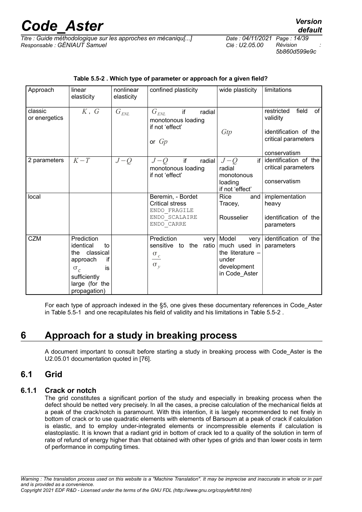*Titre : Guide méthodologique sur les approches en mécaniqu[...] Date : 04/11/2021 Page : 14/39 Responsable : GÉNIAUT Samuel Clé : U2.05.00 Révision :*

*default*

| Approach                 | linear<br>elasticity                                                                                                                      | nonlinear<br>elasticity              | confined plasticity                                                                                  | wide plasticity                                                                                             | limitations                                                                                           |
|--------------------------|-------------------------------------------------------------------------------------------------------------------------------------------|--------------------------------------|------------------------------------------------------------------------------------------------------|-------------------------------------------------------------------------------------------------------------|-------------------------------------------------------------------------------------------------------|
| classic<br>or energetics | $K$ , $G$                                                                                                                                 | $\overline{G}_{\text{\textit{ENL}}}$ | if<br>$G_{\rm \scriptscriptstyle ENL}$<br>radial<br>monotonous loading<br>if not 'effect'<br>or $Gp$ | Gtp                                                                                                         | field<br>of<br>restricted<br>validity<br>identification of the<br>critical parameters<br>conservatism |
| 2 parameters             | $K-T$                                                                                                                                     | $J-Q$                                | if<br>radial<br>$J-Q$<br>monotonous loading<br>if not 'effect'                                       | $J-Q$<br>if l<br>radial<br>monotonous<br>loading<br>if not 'effect'                                         | identification of the<br>critical parameters<br>conservatism                                          |
| local                    |                                                                                                                                           |                                      | Beremin, - Bordet<br><b>Critical stress</b><br>ENDO FRAGILE<br>ENDO SCALAIRE<br>ENDO CARRE           | Rice<br>and l<br>Tracey,<br>Rousselier                                                                      | implementation<br>heavy<br>identification of the<br>parameters                                        |
| <b>CZM</b>               | Prediction<br>identical<br>to<br>classical<br>the<br>if<br>approach<br>$\sigma_c$<br>is<br>sufficiently<br>large (for the<br>propagation) |                                      | Prediction<br>very<br>ratio<br>sensitive to the<br>$\sigma_c$<br>$\sigma_y$                          | Model<br>very<br>much used in $ $ parameters<br>the literature $-$<br>under<br>development<br>in Code Aster | identification of the                                                                                 |

#### <span id="page-13-0"></span>**Table 5.5-2 . Which type of parameter or approach for a given field?**

For each type of approach indexed in the §[5,](#page-9-0) one gives these documentary references in Code\_Aster in [Table 5.5-1](#page-12-0) and one recapitulates his field of validity and his limitations in [Table 5.5-2 .](#page-13-0)

### **6 Approach for a study in breaking process**

A document important to consult before starting a study in breaking process with Code\_Aster is the U2.05.01 documentation quoted in [\[76\]](#page-38-4).

### **6.1 Grid**

#### **6.1.1 Crack or notch**

The grid constitutes a significant portion of the study and especially in breaking process when the defect should be netted very precisely. In all the cases, a precise calculation of the mechanical fields at a peak of the crack/notch is paramount. With this intention, it is largely recommended to net finely in bottom of crack or to use quadratic elements with elements of Barsoum at a peak of crack if calculation is elastic, and to employ under-integrated elements or incompressible elements if calculation is elastoplastic. It is known that a radiant grid in bottom of crack led to a quality of the solution in term of rate of refund of energy higher than that obtained with other types of grids and than lower costs in term of performance in computing times.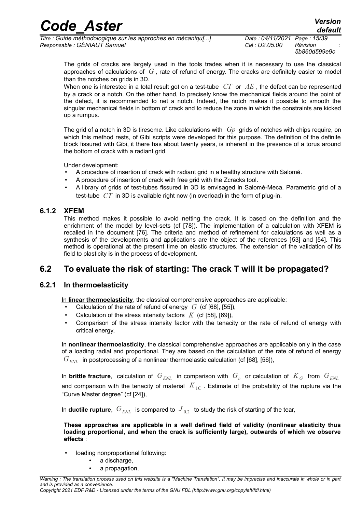*Titre : Guide méthodologique sur les approches en mécaniqu[...] Date : 04/11/2021 Page : 15/39 Responsable : GÉNIAUT Samuel Clé : U2.05.00 Révision :*

*5b860d599e9c*

*default*

The grids of cracks are largely used in the tools trades when it is necessary to use the classical approaches of calculations of *G* , rate of refund of energy. The cracks are definitely easier to model than the notches on grids in 3D.

When one is interested in a total result got on a test-tube *CT* or *AE* , the defect can be represented by a crack or a notch. On the other hand, to precisely know the mechanical fields around the point of the defect, it is recommended to net a notch. Indeed, the notch makes it possible to smooth the singular mechanical fields in bottom of crack and to reduce the zone in which the constraints are kicked up a rumpus.

The grid of a notch in 3D is tiresome. Like calculations with *Gp* grids of notches with chips require, on which this method rests, of Gibi scripts were developed for this purpose. The definition of the definite block fissured with Gibi, it there has about twenty years, is inherent in the presence of a torus around the bottom of crack with a radiant grid.

Under development:

- A procedure of insertion of crack with radiant grid in a healthy structure with Salomé.
- A procedure of insertion of crack with free grid with the Zcracks tool.
- A library of grids of test-tubes fissured in 3D is envisaged in Salomé-Meca. Parametric grid of a test-tube *CT* in 3D is available right now (in overload) in the form of plug-in.

#### **6.1.2 XFEM**

This method makes it possible to avoid netting the crack. It is based on the definition and the enrichment of the model by level-sets (cf [[78\]](#page-38-5)). The implementation of a calculation with XFEM is recalled in the document [\[76\]](#page-38-4). The criteria and method of refinement for calculations as well as a synthesis of the developments and applications are the object of the references [[53\]](#page-37-16) and [\[54\]](#page-37-15). This method is operational at the present time on elastic structures. The extension of the validation of its field to plasticity is in the process of development.

### **6.2 To evaluate the risk of starting: The crack T will it be propagated?**

#### **6.2.1 In thermoelasticity**

In **linear thermoelasticity**, the classical comprehensive approaches are applicable:

- Calculation of the rate of refund of energy *G* (cf [\[68\]](#page-37-13), [\[55\]](#page-37-3)),
- Calculation of the stress intensity factors  $K$  (cf [\[58\]](#page-37-1), [\[69\]](#page-37-14)),
- Comparison of the stress intensity factor with the tenacity or the rate of refund of energy with critical energy,

In **nonlinear thermoelasticity**, the classical comprehensive approaches are applicable only in the case of a loading radial and proportional. They are based on the calculation of the rate of refund of energy  $G_{EMI}$  in postprocessing of a nonlinear thermoelastic calculation (cf [\[68\]](#page-37-13), [\[56\]](#page-37-2)),

In brittle fracture, calculation of  $G_{ENL}$  in comparison with  $\,G_{c}^{}$  or calculation of  $\,K_{\,G}^{}$  from  $\,G_{ENL}^{}$ and comparison with the tenacity of material  $K_{1C}$ . Estimate of the probability of the rupture via the "Curve Master degree" (cf [\[24\]](#page-35-0)),

In **ductile rupture**,  $G_{EML}$  is compared to  $J_{0.2}$  to study the risk of starting of the tear,

**These approaches are applicable in a well defined field of validity (nonlinear elasticity thus loading proportional, and when the crack is sufficiently large), outwards of which we observe effects** :

- loading nonproportional following:
	- a discharge,
		- a propagation,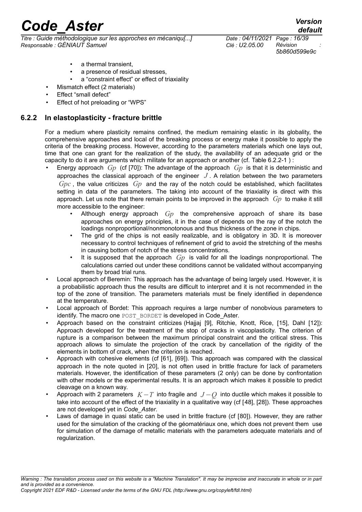*Titre : Guide méthodologique sur les approches en mécaniqu[...] Date : 04/11/2021 Page : 16/39 Responsable : GÉNIAUT Samuel Clé : U2.05.00 Révision :*

*5b860d599e9c*

a thermal transient.

- a presence of residual stresses.
- a "constraint effect" or effect of triaxiality
- Mismatch effect (2 materials)
- Effect "small defect"
- <span id="page-15-0"></span>• Effect of hot preloading or "WPS"

#### **6.2.2 In elastoplasticity - fracture brittle**

For a medium where plasticity remains confined, the medium remaining elastic in its globality, the comprehensive approaches and local of the breaking process or energy make it possible to apply the criteria of the breaking process. However, according to the parameters materials which one lays out, time that one can grant for the realization of the study, the availability of an adequate grid or the capacity to do it are arguments which militate for an approach or another (cf. [Table 6.2.2-1 \)](#page-16-0) :

- Energy approach *Gp* (cf [\[70\]](#page-37-12)): The advantage of the approach *Gp* is that it is deterministic and approaches the classical approach of the engineer *J* . A relation between the two parameters *Gpc* , the value criticizes *Gp* and the ray of the notch could be established, which facilitates setting in data of the parameters. The taking into account of the triaxiality is direct with this approach. Let us note that there remain points to be improved in the approach *Gp* to make it still more accessible to the engineer:
	- Although energy approach *Gp* the comprehensive approach of share its base approaches on energy principles, it in the case of depends on the ray of the notch the loadings nonproportional/nonmonotonous and thus thickness of the zone in chips.
	- The grid of the chips is not easily realizable, and is obligatory in 3D. It is moreover necessary to control techniques of refinement of grid to avoid the stretching of the meshs in causing bottom of notch of the stress concentrations.
	- It is supposed that the approach *Gp* is valid for all the loadings nonproportional. The calculations carried out under these conditions cannot be validated without accompanying them by broad trial runs.
- Local approach of Beremin: This approach has the advantage of being largely used. However, it is a probabilistic approach thus the results are difficult to interpret and it is not recommended in the top of the zone of transition. The parameters materials must be finely identified in dependence at the temperature.
- Local approach of Bordet: This approach requires a large number of nonobvious parameters to identify. The macro one POST\_BORDET is developed in Code\_Aster.
- Approach based on the constraint criticizes (Hajjaj [\[9\]](#page-34-2), Ritchie, Knott, Rice, [\[15\]](#page-35-3), Dahl [\[12\]](#page-34-1)): Approach developed for the treatment of the stop of cracks in viscoplasticity. The criterion of rupture is a comparison between the maximum principal constraint and the critical stress. This approach allows to simulate the projection of the crack by cancellation of the rigidity of the elements in bottom of crack, when the criterion is reached.
- Approach with cohesive elements (cf [\[61\]](#page-37-17), [\[69\]](#page-37-14)). This approach was compared with the classical approach in the note quoted in [\[20\]](#page-35-2), is not often used in brittle fracture for lack of parameters materials. However, the identification of these parameters (2 only) can be done by confrontation with other models or the experimental results. It is an approach which makes it possible to predict cleavage on a known way.
- Approach with 2 parameters *K*−*T* into fragile and *J* −*Q* into ductile which makes it possible to take into account of the effect of the triaxiality in a qualitative way (cf [\[48\]](#page-36-0), [\[28\]](#page-35-1)). These approaches are not developed yet in *Code\_Aster*.
- Laws of damage in quasi static can be used in brittle fracture (cf [\[80\]](#page-38-6)). However, they are rather used for the simulation of the cracking of the géomatériaux one, which does not prevent them use for simulation of the damage of metallic materials with the parameters adequate materials and of regularization.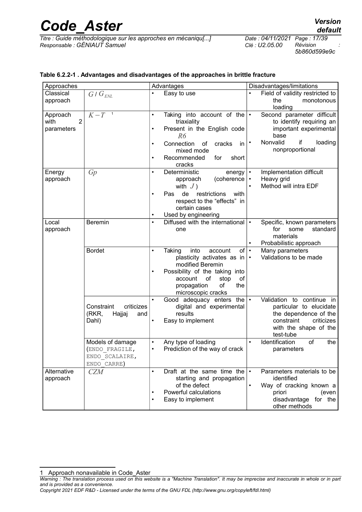*Titre : Guide méthodologique sur les approches en mécaniqu[...] Date : 04/11/2021 Page : 17/39 Responsable : GÉNIAUT Samuel Clé : U2.05.00 Révision :*

*5b860d599e9c*

#### <span id="page-16-0"></span>**Table 6.2.2-1 . Advantages and disadvantages of the approaches in brittle fracture**

| Approaches             |                                   |           | Advantages                         |           | Disadvantages/limitations          |
|------------------------|-----------------------------------|-----------|------------------------------------|-----------|------------------------------------|
| Classical              | $G/G_{\text{ENL}}$                | $\bullet$ | Easy to use                        |           | Field of validity restricted to    |
| approach               |                                   |           |                                    |           | monotonous<br>the                  |
|                        |                                   |           |                                    |           | loading                            |
| Approach               | $K-T$<br>$\overline{\phantom{0}}$ | $\bullet$ | Taking into account of the $\cdot$ |           | Second parameter difficult         |
| $\overline{2}$<br>with |                                   |           | triaxiality                        |           | to identify requiring an           |
| parameters             |                                   | $\bullet$ | Present in the English code        |           | important experimental             |
|                        |                                   |           | R6                                 |           | base                               |
|                        |                                   | $\bullet$ | Connection<br>cracks<br>in<br>οf   |           | if<br>Nonvalid<br>loading          |
|                        |                                   |           | mixed mode                         |           | nonproportional                    |
|                        |                                   | $\bullet$ | Recommended<br>for<br>short        |           |                                    |
|                        |                                   |           | cracks                             |           |                                    |
| Energy                 | Gp                                | $\bullet$ | Deterministic<br>energy            |           | Implementation difficult           |
| approach               |                                   |           | (coherence<br>approach             | $\bullet$ | Heavy grid                         |
|                        |                                   |           | with $J$ )                         |           | Method will intra EDF              |
|                        |                                   | $\bullet$ | de<br>restrictions<br>Pas<br>with  |           |                                    |
|                        |                                   |           | respect to the "effects" in        |           |                                    |
|                        |                                   |           | certain cases                      |           |                                    |
|                        |                                   |           | Used by engineering                |           |                                    |
| Local                  | <b>Beremin</b>                    | $\bullet$ | Diffused with the international    | $\bullet$ | Specific, known parameters         |
| approach               |                                   |           | one                                |           | for<br>standard<br>some            |
|                        |                                   |           |                                    |           | materials                          |
|                        |                                   |           |                                    | $\bullet$ | Probabilistic approach             |
|                        | <b>Bordet</b>                     | $\bullet$ | of<br>Taking<br>into<br>account    | $\bullet$ | Many parameters                    |
|                        |                                   |           | plasticity activates as in         | $\bullet$ | Validations to be made             |
|                        |                                   |           | modified Beremin                   |           |                                    |
|                        |                                   | $\bullet$ | Possibility of the taking into     |           |                                    |
|                        |                                   |           | stop<br>of<br>account<br>οf        |           |                                    |
|                        |                                   |           | οf<br>propagation<br>the           |           |                                    |
|                        |                                   |           | microscopic cracks                 |           |                                    |
|                        |                                   | $\bullet$ | Good adequacy enters the $\cdot$   |           | Validation to continue in          |
|                        | Constraint<br>criticizes          |           | digital and experimental           |           | particular to elucidate            |
|                        | (RKR,<br>Hajjaj<br>and            |           | results                            |           | the dependence of the              |
|                        | Dahl)                             | $\bullet$ | Easy to implement                  |           | constraint<br>criticizes           |
|                        |                                   |           |                                    |           | with the shape of the<br>test-tube |
|                        | Models of damage                  | $\bullet$ | Any type of loading                | $\bullet$ | Identification<br>of<br>the        |
|                        | (ENDO FRAGILE,                    | $\bullet$ | Prediction of the way of crack     |           | parameters                         |
|                        | ENDO SCALAIRE,                    |           |                                    |           |                                    |
|                        | ENDO CARRE)                       |           |                                    |           |                                    |
| Alternative            | <b>CZM</b>                        | $\bullet$ | Draft at the same time the $\cdot$ |           | Parameters materials to be         |
| approach               |                                   |           | starting and propagation           |           | identified                         |
|                        |                                   |           | of the defect                      | $\bullet$ | Way of cracking known a            |
|                        |                                   | $\bullet$ | Powerful calculations              |           | priori<br>(even                    |
|                        |                                   |           | Easy to implement                  |           | disadvantage for the               |
|                        |                                   |           |                                    |           | other methods                      |

<span id="page-16-1"></span><sup>1</sup> Approach nonavailable in Code\_Aster

*Warning : The translation process used on this website is a "Machine Translation". It may be imprecise and inaccurate in whole or in part and is provided as a convenience.*

*Copyright 2021 EDF R&D - Licensed under the terms of the GNU FDL (http://www.gnu.org/copyleft/fdl.html)*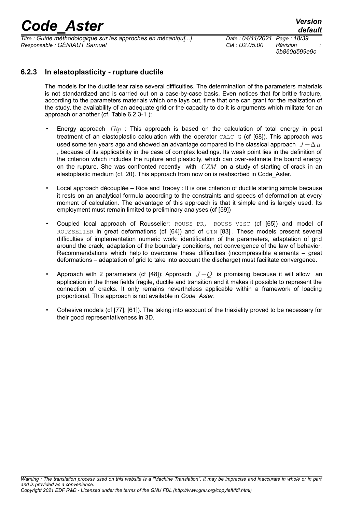*Titre : Guide méthodologique sur les approches en mécaniqu[...] Date : 04/11/2021 Page : 18/39 Responsable : GÉNIAUT Samuel Clé : U2.05.00 Révision :*

*5b860d599e9c*

#### **6.2.3 In elastoplasticity - rupture ductile**

The models for the ductile tear raise several difficulties. The determination of the parameters materials is not standardized and is carried out on a case-by-case basis. Even notices that for brittle fracture, according to the parameters materials which one lays out, time that one can grant for the realization of the study, the availability of an adequate grid or the capacity to do it is arguments which militate for an approach or another (cf. [Table 6.2.3-1 \)](#page-18-0):

- Energy approach *Gtp* : This approach is based on the calculation of total energy in post treatment of an elastoplastic calculation with the operator  $CALC \text{ }G$  (cf [\[68\]](#page-37-13)). This approach was used some ten years ago and showed an advantage compared to the classical approach  $J - \Delta a$ , because of its applicability in the case of complex loadings. Its weak point lies in the definition of the criterion which includes the rupture and plasticity, which can over-estimate the bound energy on the rupture. She was confronted recently with *CZM* on a study of starting of crack in an elastoplastic medium (cf. [20\)](#page-35-2). This approach from now on is reabsorbed in Code\_Aster.
- Local approach découplée Rice and Tracey : It is one criterion of ductile starting simple because it rests on an analytical formula according to the constraints and speeds of deformation at every moment of calculation. The advantage of this approach is that it simple and is largely used. Its employment must remain limited to preliminary analyses (cf [\[59\]](#page-37-7))
- Coupled local approach of Rousselier: ROUSS PR, ROUSS VISC (cf [\[65\]](#page-37-4)) and model of ROUSSELIER in great deformations (cf [\[64\]](#page-37-5)) and of GTN [\[83\]](#page-38-0) . These models present several difficulties of implementation numeric work: identification of the parameters, adaptation of grid around the crack, adaptation of the boundary conditions, not convergence of the law of behavior. Recommendations which help to overcome these difficulties (incompressible elements – great deformations – adaptation of grid to take into account the discharge) must facilitate convergence.
- Approach with 2 parameters (cf [\[48\]](#page-36-0)): Approach *J* −*Q* is promising because it will allow an application in the three fields fragile, ductile and transition and it makes it possible to represent the connection of cracks. It only remains nevertheless applicable within a framework of loading proportional. This approach is not available in *Code\_Aster*.
- Cohesive models (cf [\[77\]](#page-38-3), [\[61\]](#page-37-17)). The taking into account of the triaxiality proved to be necessary for their good representativeness in 3D.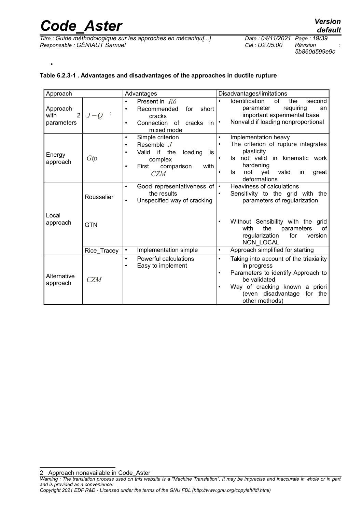•

*Titre : Guide méthodologique sur les approches en mécaniqu[...] Date : 04/11/2021 Page : 19/39 Responsable : GÉNIAUT Samuel Clé : U2.05.00 Révision :*

*5b860d599e9c*

#### <span id="page-18-0"></span>**Table 6.2.3-1 . Advantages and disadvantages of the approaches in ductile rupture**

| Approach               |                         | Advantages                                             | Disadvantages/limitations                           |  |  |
|------------------------|-------------------------|--------------------------------------------------------|-----------------------------------------------------|--|--|
|                        |                         | Present in $R6$<br>$\bullet$                           | Identification<br>the<br>0f<br>second               |  |  |
| Approach               |                         | Recommended<br>for<br>short<br>$\bullet$               | requiring<br>parameter<br>an                        |  |  |
| $\overline{2}$<br>with | $\overline{2}$<br>$J-Q$ | cracks                                                 | important experimental base                         |  |  |
| parameters             |                         | Connection<br>of<br>cracks<br>in.<br>$\bullet$         | Nonvalid if loading nonproportional<br>$\bullet$    |  |  |
|                        |                         | mixed mode                                             |                                                     |  |  |
|                        |                         | Simple criterion<br>$\bullet$                          | Implementation heavy<br>$\bullet$                   |  |  |
|                        |                         | Resemble $J$<br>$\bullet$                              | The criterion of rupture integrates                 |  |  |
| Energy                 |                         | if<br>the<br>Valid<br>loading<br>$\bullet$<br>is       | plasticity                                          |  |  |
| approach               | Gtp                     | complex                                                | not valid in kinematic work<br>ls.<br>$\bullet$     |  |  |
|                        |                         | First<br>comparison<br>with<br>$\bullet$               | hardening                                           |  |  |
|                        |                         | <b>CZM</b>                                             | Is<br>not<br>valid<br>vet<br>in<br>great            |  |  |
|                        |                         |                                                        | deformations                                        |  |  |
|                        | Rousselier              | Good representativeness of<br>$\bullet$<br>the results | Heaviness of calculations<br>$\bullet$<br>$\bullet$ |  |  |
|                        |                         | Unspecified way of cracking<br>$\bullet$               | Sensitivity to the grid with the                    |  |  |
|                        |                         |                                                        | parameters of regularization                        |  |  |
|                        |                         |                                                        |                                                     |  |  |
| Local                  |                         |                                                        | Without Sensibility with the grid                   |  |  |
| approach               | <b>GTN</b>              |                                                        | with<br>the<br>parameters<br>of                     |  |  |
|                        |                         |                                                        | regularization<br>for<br>version                    |  |  |
|                        |                         |                                                        | NON LOCAL                                           |  |  |
|                        | Rice_Tracey             | Implementation simple<br>$\bullet$                     | Approach simplified for starting<br>$\bullet$       |  |  |
|                        |                         | Powerful calculations<br>$\bullet$                     | Taking into account of the triaxiality<br>$\bullet$ |  |  |
|                        |                         | Easy to implement<br>$\bullet$                         | in progress                                         |  |  |
| Alternative            |                         |                                                        | Parameters to identify Approach to<br>$\bullet$     |  |  |
| approach               | <b>CZM</b>              |                                                        | be validated                                        |  |  |
|                        |                         |                                                        | Way of cracking known a priori<br>$\bullet$         |  |  |
|                        |                         |                                                        | (even disadvantage<br>for the                       |  |  |
|                        |                         |                                                        | other methods)                                      |  |  |

<span id="page-18-1"></span>2 Approach nonavailable in Code\_Aster

*Copyright 2021 EDF R&D - Licensed under the terms of the GNU FDL (http://www.gnu.org/copyleft/fdl.html)*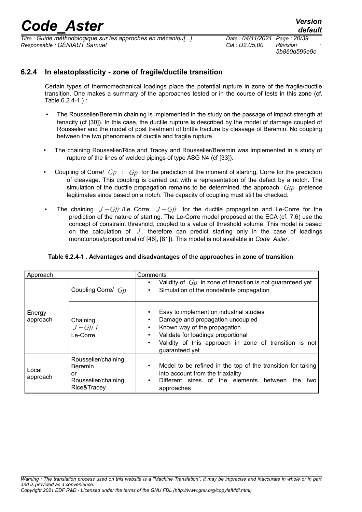*Titre : Guide méthodologique sur les approches en mécaniqu[...] Date : 04/11/2021 Page : 20/39 Responsable : GÉNIAUT Samuel Clé : U2.05.00 Révision :*

*5b860d599e9c*

#### **6.2.4 In elastoplasticity - zone of fragile/ductile transition**

Certain types of thermomechanical loadings place the potential rupture in zone of the fragile/ductile transition. One makes a summary of the approaches tested or in the course of tests in this zone (cf. [Table 6.2.4-1 \)](#page-19-0) :

- The Rousselier/Beremin chaining is implemented in the study on the passage of impact strength at tenacity (cf [\[30\]](#page-35-4)). In this case, the ductile rupture is described by the model of damage coupled of Rousselier and the model of post treatment of brittle fracture by cleavage of Beremin. No coupling between the two phenomena of ductile and fragile rupture.
- The chaining Rousselier/Rice and Tracey and Rousselier/Beremin was implemented in a study of rupture of the lines of welded pipings of type ASG N4 (cf [\[33\]](#page-36-4)).
- Coupling of Corre/ *Gp* : *Gp* for the prediction of the moment of starting, Corre for the prediction of cleavage. This coupling is carried out with a representation of the defect by a notch. The simulation of the ductile propagation remains to be determined, the approach *Gtp* pretence legitimates since based on a notch. The capacity of coupling must still be checked.
- The chaining *J* −*Gfr* /Le Corre: *J* −*Gfr* for the ductile propagation and Le-Corre for the prediction of the nature of starting. The Le-Corre model proposed at the ECA (cf. [7.6\)](#page-26-0) use the concept of constraint threshold, coupled to a value of threshold volume. This model is based on the calculation of  $J$ , therefore can predict starting only in the case of loadings monotonous/proportional (cf [\[46\]](#page-36-3), [\[81\]](#page-38-1)). This model is not available in *Code\_Aster*.

<span id="page-19-0"></span>

|  |  |  |  | Table 6.2.4-1 . Advantages and disadvantages of the approaches in zone of transition |
|--|--|--|--|--------------------------------------------------------------------------------------|
|--|--|--|--|--------------------------------------------------------------------------------------|

| Approach           |                                                                                   | Comments                                                                                                                                                                                                                                                                  |
|--------------------|-----------------------------------------------------------------------------------|---------------------------------------------------------------------------------------------------------------------------------------------------------------------------------------------------------------------------------------------------------------------------|
|                    | Coupling Corre/ Gp                                                                | Validity of $G_p$ in zone of transition is not guaranteed yet<br>٠<br>Simulation of the nondefinite propagation<br>$\bullet$                                                                                                                                              |
| Energy<br>approach | Chaining<br>$J-Gfr$<br>$Le-Corre$                                                 | Easy to implement on industrial studies<br>Damage and propagation uncoupled<br>$\bullet$<br>Known way of the propagation<br>٠<br>Validate for loadings proportional<br>$\bullet$<br>Validity of this approach in zone of transition is not<br>$\bullet$<br>guaranteed yet |
| Local<br>approach  | Rousselier/chaining<br><b>Beremin</b><br>or<br>Rousselier/chaining<br>Rice&Tracey | Model to be refined in the top of the transition for taking<br>$\bullet$<br>into account from the triaxiality<br>Different sizes of the elements between<br>the<br>$\bullet$<br>two<br>approaches                                                                         |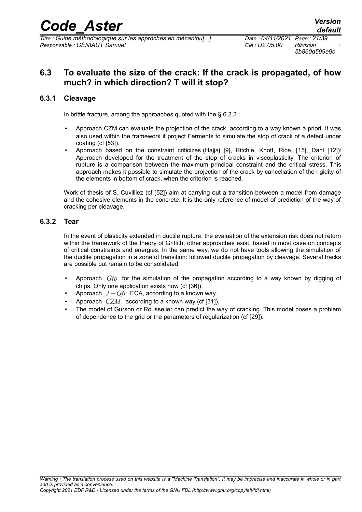*5b860d599e9c*

### **6.3 To evaluate the size of the crack: If the crack is propagated, of how much? in which direction? T will it stop?**

#### **6.3.1 Cleavage**

In brittle fracture, among the approaches quoted with the § [6.2.2](#page-15-0) :

- Approach CZM can evaluate the projection of the crack, according to a way known a priori. It was also used within the framework it project Ferments to simulate the stop of crack of a defect under coating (cf [\[53\]](#page-37-16)).
- Approach based on the constraint criticizes (Hajjaj [\[9\]](#page-34-2), Ritchie, Knott, Rice, [\[15\]](#page-35-3), Dahl [\[12\]](#page-34-1)): Approach developed for the treatment of the stop of cracks in viscoplasticity. The criterion of rupture is a comparison between the maximum principal constraint and the critical stress. This approach makes it possible to simulate the projection of the crack by cancellation of the rigidity of the elements in bottom of crack, when the criterion is reached.

Work of thesis of S. Cuvilliez (cf [\[52\]](#page-37-18)) aim at carrying out a transition between a model from damage and the cohesive elements in the concrete. It is the only reference of model of prediction of the way of cracking per cleavage.

#### **6.3.2 Tear**

In the event of plasticity extended in ductile rupture, the evaluation of the extension risk does not return within the framework of the theory of Griffith, other approaches exist, based in most case on concepts of critical constraints and energies. In the same way, we do not have tools allowing the simulation of the ductile propagation in a zone of transition: followed ductile propagation by cleavage. Several tracks are possible but remain to be consolidated:

- Approach *Gtp* for the simulation of the propagation according to a way known by digging of chips. Only one application exists now (cf [\[36\]](#page-36-1)).
- Approach *J* −*Gfr* ECA, according to a known way.
- Approach *CZM*, according to a known way (cf [\[31\]](#page-36-5)).
- The model of Gurson or Rousselier can predict the way of cracking. This model poses a problem of dependence to the grid or the parameters of regularization (cf [\[29\]](#page-35-5)).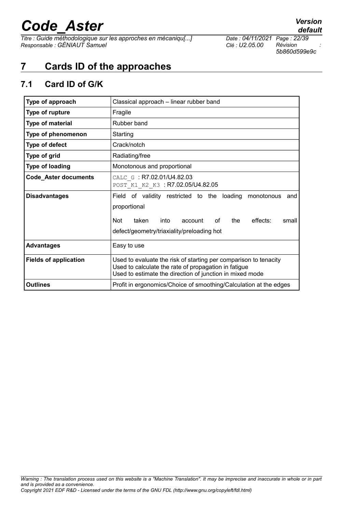*Titre : Guide méthodologique sur les approches en mécaniqu[...] Date : 04/11/2021 Page : 22/39 Responsable : GÉNIAUT Samuel Clé : U2.05.00 Révision :*

*5b860d599e9c*

## **7 Cards ID of the approaches**

### <span id="page-21-0"></span>**7.1 Card ID of G/K**

| Type of approach             | Classical approach - linear rubber band                                                                                                                                                             |  |  |
|------------------------------|-----------------------------------------------------------------------------------------------------------------------------------------------------------------------------------------------------|--|--|
| Type of rupture              | Fragile                                                                                                                                                                                             |  |  |
| <b>Type of material</b>      | Rubber band                                                                                                                                                                                         |  |  |
| Type of phenomenon           | Starting                                                                                                                                                                                            |  |  |
| Type of defect               | Crack/notch                                                                                                                                                                                         |  |  |
| Type of grid                 | Radiating/free                                                                                                                                                                                      |  |  |
| <b>Type of loading</b>       | Monotonous and proportional                                                                                                                                                                         |  |  |
| Code_Aster documents         | CALC G: R7.02.01/U4.82.03<br>POST K1 K2 K3 : R7.02.05/U4.82.05                                                                                                                                      |  |  |
| <b>Disadvantages</b>         | Field of validity restricted to the loading<br>monotonous<br>and<br>proportional<br>effects:<br>Not<br>taken<br>into<br>οf<br>the<br>account<br>small<br>defect/geometry/triaxiality/preloading hot |  |  |
| <b>Advantages</b>            | Easy to use                                                                                                                                                                                         |  |  |
| <b>Fields of application</b> | Used to evaluate the risk of starting per comparison to tenacity<br>Used to calculate the rate of propagation in fatigue<br>Used to estimate the direction of junction in mixed mode                |  |  |
| <b>Outlines</b>              | Profit in ergonomics/Choice of smoothing/Calculation at the edges                                                                                                                                   |  |  |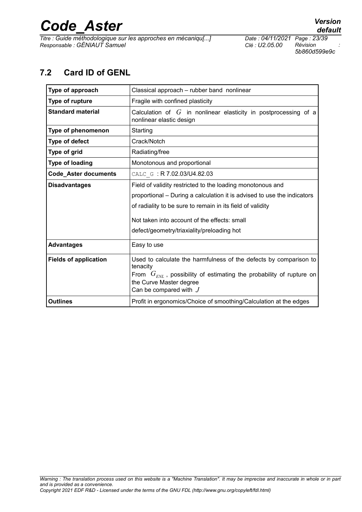*Titre : Guide méthodologique sur les approches en mécaniqu[...] Date : 04/11/2021 Page : 23/39 Responsable : GÉNIAUT Samuel Clé : U2.05.00 Révision :*

*default*

*5b860d599e9c*

### **7.2 Card ID of GENL**

<span id="page-22-0"></span>

| Type of approach                                      | Classical approach - rubber band nonlinear                                                                                                                                                                              |  |  |  |
|-------------------------------------------------------|-------------------------------------------------------------------------------------------------------------------------------------------------------------------------------------------------------------------------|--|--|--|
| Type of rupture                                       | Fragile with confined plasticity                                                                                                                                                                                        |  |  |  |
| <b>Standard material</b>                              | Calculation of $G$ in nonlinear elasticity in postprocessing of a<br>nonlinear elastic design                                                                                                                           |  |  |  |
| Type of phenomenon                                    | Starting                                                                                                                                                                                                                |  |  |  |
| Type of defect                                        | Crack/Notch                                                                                                                                                                                                             |  |  |  |
| Type of grid                                          | Radiating/free                                                                                                                                                                                                          |  |  |  |
| <b>Type of loading</b><br>Monotonous and proportional |                                                                                                                                                                                                                         |  |  |  |
| <b>Code_Aster documents</b>                           | CALC G: R 7.02.03/U4.82.03                                                                                                                                                                                              |  |  |  |
| <b>Disadvantages</b>                                  | Field of validity restricted to the loading monotonous and                                                                                                                                                              |  |  |  |
|                                                       | proportional - During a calculation it is advised to use the indicators                                                                                                                                                 |  |  |  |
|                                                       | of radiality to be sure to remain in its field of validity                                                                                                                                                              |  |  |  |
|                                                       | Not taken into account of the effects: small                                                                                                                                                                            |  |  |  |
|                                                       | defect/geometry/triaxiality/preloading hot                                                                                                                                                                              |  |  |  |
| <b>Advantages</b>                                     | Easy to use                                                                                                                                                                                                             |  |  |  |
| <b>Fields of application</b>                          | Used to calculate the harmfulness of the defects by comparison to<br>tenacity<br>From $G_{\text{EML}}$ , possibility of estimating the probability of rupture on<br>the Curve Master degree<br>Can be compared with $J$ |  |  |  |
| <b>Outlines</b>                                       | Profit in ergonomics/Choice of smoothing/Calculation at the edges                                                                                                                                                       |  |  |  |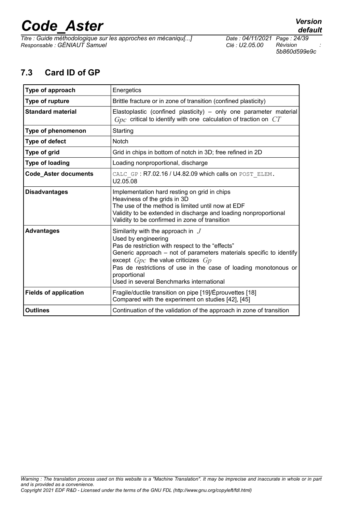*Titre : Guide méthodologique sur les approches en mécaniqu[...] Date : 04/11/2021 Page : 24/39 Responsable : GÉNIAUT Samuel Clé : U2.05.00 Révision :*

*default*

*5b860d599e9c*

### <span id="page-23-0"></span>**7.3 Card ID of GP**

| Type of approach             | Energetics                                                                                                                                                                                                                                                                                                                                                     |
|------------------------------|----------------------------------------------------------------------------------------------------------------------------------------------------------------------------------------------------------------------------------------------------------------------------------------------------------------------------------------------------------------|
| Type of rupture              | Brittle fracture or in zone of transition (confined plasticity)                                                                                                                                                                                                                                                                                                |
| <b>Standard material</b>     | Elastoplastic (confined plasticity) – only one parameter material<br>$Gpc$ critical to identify with one calculation of traction on $CT$                                                                                                                                                                                                                       |
| Type of phenomenon           | Starting                                                                                                                                                                                                                                                                                                                                                       |
| Type of defect               | <b>Notch</b>                                                                                                                                                                                                                                                                                                                                                   |
| Type of grid                 | Grid in chips in bottom of notch in 3D; free refined in 2D                                                                                                                                                                                                                                                                                                     |
| Type of loading              | Loading nonproportional, discharge                                                                                                                                                                                                                                                                                                                             |
| <b>Code_Aster documents</b>  | CALC GP: R7.02.16 / U4.82.09 which calls on POST ELEM.<br>U2.05.08                                                                                                                                                                                                                                                                                             |
| <b>Disadvantages</b>         | Implementation hard resting on grid in chips<br>Heaviness of the grids in 3D<br>The use of the method is limited until now at EDF<br>Validity to be extended in discharge and loading nonproportional<br>Validity to be confirmed in zone of transition                                                                                                        |
| <b>Advantages</b>            | Similarity with the approach in $J$<br>Used by engineering<br>Pas de restriction with respect to the "effects"<br>Generic approach – not of parameters materials specific to identify<br>except $Gpc$ the value criticizes $Gp$<br>Pas de restrictions of use in the case of loading monotonous or<br>proportional<br>Used in several Benchmarks international |
| <b>Fields of application</b> | Fragile/ductile transition on pipe [19]/Éprouvettes [18]<br>Compared with the experiment on studies [42], [45]                                                                                                                                                                                                                                                 |
| <b>Outlines</b>              | Continuation of the validation of the approach in zone of transition                                                                                                                                                                                                                                                                                           |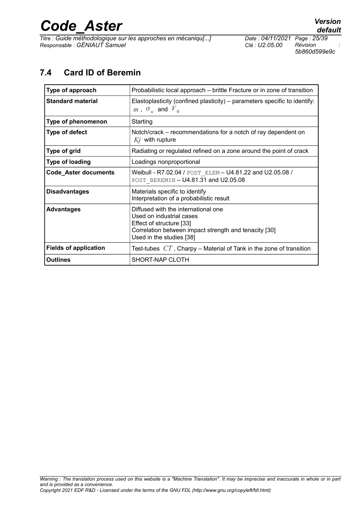*Titre : Guide méthodologique sur les approches en mécaniqu[...] Date : 04/11/2021 Page : 25/39 Responsable : GÉNIAUT Samuel Clé : U2.05.00 Révision :*

*5b860d599e9c*

### <span id="page-24-0"></span>**7.4 Card ID of Beremin**

| Type of approach             | Probabilistic local approach – brittle Fracture or in zone of transition                                                                                                         |
|------------------------------|----------------------------------------------------------------------------------------------------------------------------------------------------------------------------------|
| <b>Standard material</b>     | Elastoplasticity (confined plasticity) – parameters specific to identify:<br>$m$ , $\sigma_{\mu}$ and $V_{0}$                                                                    |
| Type of phenomenon           | Starting                                                                                                                                                                         |
| Type of defect               | Notch/crack - recommendations for a notch of ray dependent on<br>$Kj$ with rupture                                                                                               |
| Type of grid                 | Radiating or regulated refined on a zone around the point of crack                                                                                                               |
| <b>Type of loading</b>       | Loadings nonproportional                                                                                                                                                         |
| <b>Code_Aster documents</b>  | Weibull - R7.02.04 / POST ELEM - U4.81.22 and U2.05.08 /<br>POST BEREMIN - U4.81.31 and U2.05.08                                                                                 |
| <b>Disadvantages</b>         | Materials specific to identify<br>Interpretation of a probabilistic result                                                                                                       |
| <b>Advantages</b>            | Diffused with the international one<br>Used on industrial cases<br>Effect of structure [33]<br>Correlation between impact strength and tenacity [30]<br>Used in the studies [38] |
| <b>Fields of application</b> | Test-tubes $CT$ , Charpy – Material of Tank in the zone of transition                                                                                                            |
| Outlines                     | SHORT-NAP CLOTH                                                                                                                                                                  |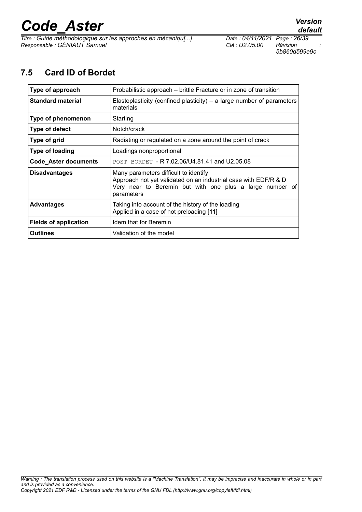*Titre : Guide méthodologique sur les approches en mécaniqu[...] Date : 04/11/2021 Page : 26/39 Responsable : GÉNIAUT Samuel Clé : U2.05.00 Révision :*

*5b860d599e9c*

### **7.5 Card ID of Bordet**

<span id="page-25-0"></span>

| Type of approach             | Probabilistic approach – brittle Fracture or in zone of transition                                                                                                                 |
|------------------------------|------------------------------------------------------------------------------------------------------------------------------------------------------------------------------------|
| <b>Standard material</b>     | Elastoplasticity (confined plasticity) – a large number of parameters<br>materials                                                                                                 |
| Type of phenomenon           | Starting                                                                                                                                                                           |
| <b>Type of defect</b>        | Notch/crack                                                                                                                                                                        |
| Type of grid                 | Radiating or regulated on a zone around the point of crack                                                                                                                         |
| <b>Type of loading</b>       | Loadings nonproportional                                                                                                                                                           |
| <b>Code Aster documents</b>  | POST BORDET - R 7.02.06/U4.81.41 and U2.05.08                                                                                                                                      |
| <b>Disadvantages</b>         | Many parameters difficult to identify<br>Approach not yet validated on an industrial case with EDF/R & D<br>Very near to Beremin but with one plus a large number of<br>parameters |
| <b>Advantages</b>            | Taking into account of the history of the loading<br>Applied in a case of hot preloading [11]                                                                                      |
| <b>Fields of application</b> | Idem that for Beremin                                                                                                                                                              |
| <b>Outlines</b>              | Validation of the model                                                                                                                                                            |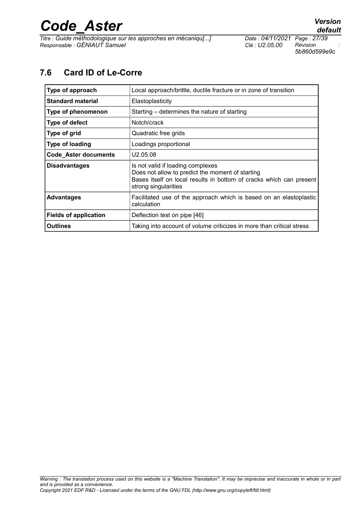*Titre : Guide méthodologique sur les approches en mécaniqu[...] Date : 04/11/2021 Page : 27/39 Responsable : GÉNIAUT Samuel Clé : U2.05.00 Révision :*

*5b860d599e9c*

### <span id="page-26-0"></span>**7.6 Card ID of Le-Corre**

| Type of approach             | Local approach/brittle, ductile fracture or in zone of transition                                                                                                                    |
|------------------------------|--------------------------------------------------------------------------------------------------------------------------------------------------------------------------------------|
| <b>Standard material</b>     | Elastoplasticity                                                                                                                                                                     |
| Type of phenomenon           | Starting – determines the nature of starting                                                                                                                                         |
| Type of defect               | Notch/crack                                                                                                                                                                          |
| Type of grid                 | Quadratic free grids                                                                                                                                                                 |
| <b>Type of loading</b>       | Loadings proportional                                                                                                                                                                |
| Code_Aster documents         | U2.05.08                                                                                                                                                                             |
| <b>Disadvantages</b>         | Is not valid if loading complexes<br>Does not allow to predict the moment of starting<br>Bases itself on local results in bottom of cracks which can present<br>strong singularities |
| <b>Advantages</b>            | Facilitated use of the approach which is based on an elastoplastic<br>calculation                                                                                                    |
| <b>Fields of application</b> | Deflection test on pipe [46]                                                                                                                                                         |
| <b>Outlines</b>              | Taking into account of volume criticizes in more than critical stress                                                                                                                |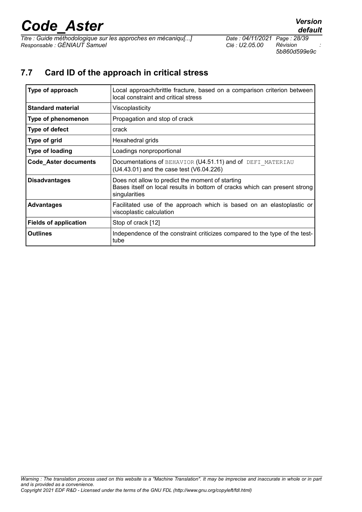*Titre : Guide méthodologique sur les approches en mécaniqu[...] Date : 04/11/2021 Page : 28/39 Responsable : GÉNIAUT Samuel Clé : U2.05.00 Révision :*

*5b860d599e9c*

### **7.7 Card ID of the approach in critical stress**

| Type of approach             | Local approach/brittle fracture, based on a comparison criterion between<br>local constraint and critical stress                                |
|------------------------------|-------------------------------------------------------------------------------------------------------------------------------------------------|
| <b>Standard material</b>     | Viscoplasticity                                                                                                                                 |
| Type of phenomenon           | Propagation and stop of crack                                                                                                                   |
| Type of defect               | crack                                                                                                                                           |
| Type of grid                 | Hexahedral grids                                                                                                                                |
| <b>Type of loading</b>       | Loadings nonproportional                                                                                                                        |
| <b>Code_Aster documents</b>  | Documentations of BEHAVIOR (U4.51.11) and of DEFI MATERIAU<br>(U4.43.01) and the case test (V6.04.226)                                          |
| <b>Disadvantages</b>         | Does not allow to predict the moment of starting<br>Bases itself on local results in bottom of cracks which can present strong<br>singularities |
| <b>Advantages</b>            | Facilitated use of the approach which is based on an elastoplastic or<br>viscoplastic calculation                                               |
| <b>Fields of application</b> | Stop of crack [12]                                                                                                                              |
| <b>Outlines</b>              | Independence of the constraint criticizes compared to the type of the test-<br>tube                                                             |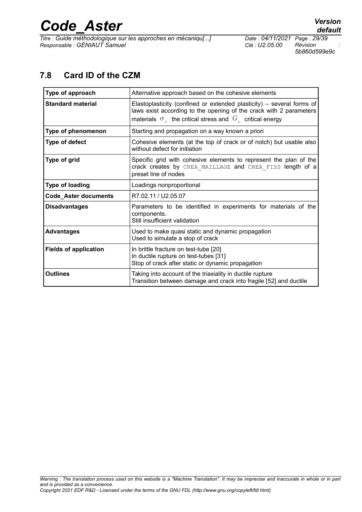*Titre : Guide méthodologique sur les approches en mécaniqu[...] Date : 04/11/2021 Page : 29/39 Responsable : GÉNIAUT Samuel Clé : U2.05.00 Révision :*

*default*

*5b860d599e9c*

### <span id="page-28-0"></span>**7.8 Card ID of the CZM**

| Type of approach             | Alternative approach based on the cohesive elements                                                                                                                                                                     |
|------------------------------|-------------------------------------------------------------------------------------------------------------------------------------------------------------------------------------------------------------------------|
| <b>Standard material</b>     | Elastoplasticity (confined or extended plasticity) $-$ several forms of<br>laws exist according to the opening of the crack with 2 parameters<br>materials $\sigma_{c}$ the critical stress and $G_{c}$ critical energy |
| Type of phenomenon           | Starting and propagation on a way known a priori                                                                                                                                                                        |
| <b>Type of defect</b>        | Cohesive elements (at the top of crack or of notch) but usable also<br>without defect for initiation                                                                                                                    |
| Type of grid                 | Specific grid with cohesive elements to represent the plan of the<br>crack creates by CREA MAILLAGE and CREA FISS length of a<br>preset line of nodes                                                                   |
| Type of loading              | Loadings nonproportional                                                                                                                                                                                                |
| <b>Code_Aster documents</b>  | R7.02.11 / U2.05.07                                                                                                                                                                                                     |
| <b>Disadvantages</b>         | Parameters to be identified in experiments for materials of the<br>components.<br>Still insufficient validation                                                                                                         |
| <b>Advantages</b>            | Used to make quasi static and dynamic propagation<br>Used to simulate a stop of crack                                                                                                                                   |
| <b>Fields of application</b> | In brittle fracture on test-tube [20]<br>In ductile rupture on test-tubes [31]<br>Stop of crack after static or dynamic propagation                                                                                     |
| <b>Outlines</b>              | Taking into account of the triaxiality in ductile rupture<br>Transition between damage and crack into fragile [52] and ductile                                                                                          |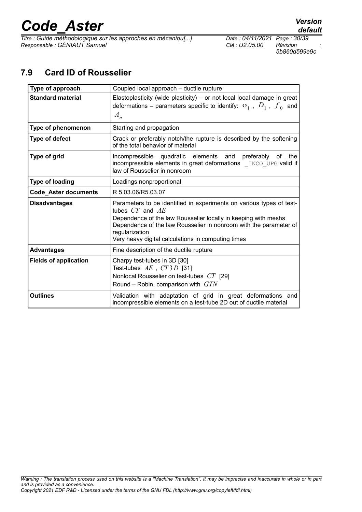*Titre : Guide méthodologique sur les approches en mécaniqu[...] Date : 04/11/2021 Page : 30/39 Responsable : GÉNIAUT Samuel Clé : U2.05.00 Révision :*

*5b860d599e9c*

### **7.9 Card ID of Rousselier**

<span id="page-29-0"></span>

| Type of approach             | Coupled local approach - ductile rupture                                                                                                                                                                                                                                                                   |
|------------------------------|------------------------------------------------------------------------------------------------------------------------------------------------------------------------------------------------------------------------------------------------------------------------------------------------------------|
| <b>Standard material</b>     | Elastoplasticity (wide plasticity) $-$ or not local local damage in great<br>deformations – parameters specific to identify: $\sigma_1$ , $D_1$ , $f_0$ and<br>$A_n$                                                                                                                                       |
| Type of phenomenon           | Starting and propagation                                                                                                                                                                                                                                                                                   |
| Type of defect               | Crack or preferably notch/the rupture is described by the softening<br>of the total behavior of material                                                                                                                                                                                                   |
| Type of grid                 | Incompressible quadratic elements<br>and<br>preferably<br>the<br>0f<br>incompressible elements in great deformations INCO UPG valid if<br>law of Rousselier in nonroom                                                                                                                                     |
| <b>Type of loading</b>       | Loadings nonproportional                                                                                                                                                                                                                                                                                   |
| <b>Code_Aster documents</b>  | R 5.03.06/R5.03.07                                                                                                                                                                                                                                                                                         |
| <b>Disadvantages</b>         | Parameters to be identified in experiments on various types of test-<br>tubes $CT$ and $AE$<br>Dependence of the law Rousselier locally in keeping with meshs<br>Dependence of the law Rousselier in nonroom with the parameter of<br>regularization<br>Very heavy digital calculations in computing times |
| <b>Advantages</b>            | Fine description of the ductile rupture                                                                                                                                                                                                                                                                    |
| <b>Fields of application</b> | Charpy test-tubes in 3D [30]<br>Test-tubes $AE$ , $CT3D$ [31]<br>Nonlocal Rousselier on test-tubes CT [29]<br>Round – Robin, comparison with $GTN$                                                                                                                                                         |
| <b>Outlines</b>              | Validation with adaptation of grid in great deformations and<br>incompressible elements on a test-tube 2D out of ductile material                                                                                                                                                                          |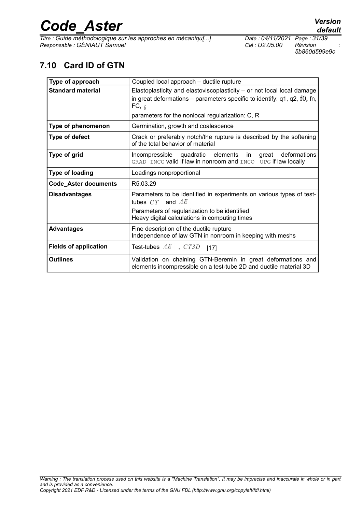*Titre : Guide méthodologique sur les approches en mécaniqu[...] Date : 04/11/2021 Page : 31/39 Responsable : GÉNIAUT Samuel Clé : U2.05.00 Révision :*

*5b860d599e9c*

## **7.10 Card ID of GTN**

| Type of approach             | Coupled local approach - ductile rupture                                                                                                                                                                                         |
|------------------------------|----------------------------------------------------------------------------------------------------------------------------------------------------------------------------------------------------------------------------------|
| <b>Standard material</b>     | Elastoplasticity and elastoviscoplasticity – or not local local damage<br>in great deformations – parameters specific to identify: $q1$ , $q2$ , $f0$ , fn,<br>FC, $_\delta$<br>parameters for the nonlocal regularization: C, R |
| Type of phenomenon           | Germination, growth and coalescence                                                                                                                                                                                              |
| <b>Type of defect</b>        | Crack or preferably notch/the rupture is described by the softening<br>of the total behavior of material                                                                                                                         |
| Type of grid                 | Incompressible quadratic elements in great deformations<br>GRAD INCO valid if law in nonroom and INCO UPG if law locally                                                                                                         |
| <b>Type of loading</b>       | Loadings nonproportional                                                                                                                                                                                                         |
| <b>Code_Aster documents</b>  | R <sub>5</sub> .03.29                                                                                                                                                                                                            |
| <b>Disadvantages</b>         | Parameters to be identified in experiments on various types of test-<br>tubes $CT$ and $AE$<br>Parameters of regularization to be identified<br>Heavy digital calculations in computing times                                    |
| <b>Advantages</b>            | Fine description of the ductile rupture<br>Independence of law GTN in nonroom in keeping with meshs                                                                                                                              |
| <b>Fields of application</b> | Test-tubes $AE$ , $CT3D$ [17]                                                                                                                                                                                                    |
| <b>Outlines</b>              | Validation on chaining GTN-Beremin in great deformations and<br>elements incompressible on a test-tube 2D and ductile material 3D                                                                                                |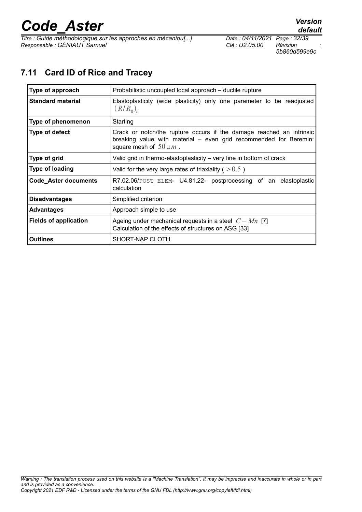*Titre : Guide méthodologique sur les approches en mécaniqu[...] Date : 04/11/2021 Page : 32/39 Responsable : GÉNIAUT Samuel Clé : U2.05.00 Révision :*

*5b860d599e9c*

### <span id="page-31-0"></span>**7.11 Card ID of Rice and Tracey**

| Type of approach             | Probabilistic uncoupled local approach – ductile rupture                                                                                                                 |
|------------------------------|--------------------------------------------------------------------------------------------------------------------------------------------------------------------------|
| <b>Standard material</b>     | Elastoplasticity (wide plasticity) only one parameter to be readjusted<br>$(R/R_0)$                                                                                      |
| Type of phenomenon           | Starting                                                                                                                                                                 |
| Type of defect               | Crack or notch/the rupture occurs if the damage reached an intrinsic<br>breaking value with material - even grid recommended for Beremin:<br>square mesh of $50 \mu m$ . |
| Type of grid                 | Valid grid in thermo-elastoplasticity – very fine in bottom of crack                                                                                                     |
| <b>Type of loading</b>       | Valid for the very large rates of triaxiality ( $> 0.5$ )                                                                                                                |
| <b>Code Aster documents</b>  | R7.02.06/POST ELEM- U4.81.22- postprocessing of an elastoplastic<br>calculation                                                                                          |
| <b>Disadvantages</b>         | Simplified criterion                                                                                                                                                     |
| <b>Advantages</b>            | Approach simple to use                                                                                                                                                   |
| <b>Fields of application</b> | Ageing under mechanical requests in a steel $C-Mn$ [7]<br>Calculation of the effects of structures on ASG [33]                                                           |
| <b>Outlines</b>              | SHORT-NAP CLOTH                                                                                                                                                          |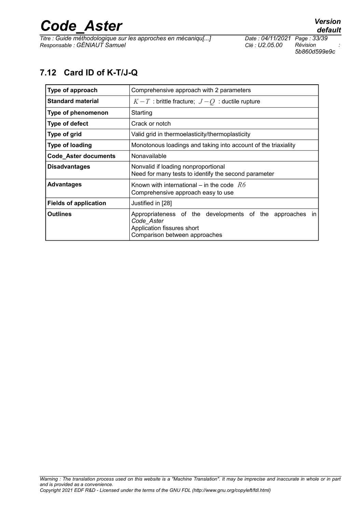*Titre : Guide méthodologique sur les approches en mécaniqu[...] Date : 04/11/2021 Page : 33/39 Responsable : GÉNIAUT Samuel Clé : U2.05.00 Révision :*

*5b860d599e9c*

## <span id="page-32-0"></span>**7.12 Card ID of K-T/J-Q**

| Type of approach             | Comprehensive approach with 2 parameters                                                                                              |
|------------------------------|---------------------------------------------------------------------------------------------------------------------------------------|
| <b>Standard material</b>     | $K-T$ : brittle fracture; $J-Q$ : ductile rupture                                                                                     |
| Type of phenomenon           | Starting                                                                                                                              |
| Type of defect               | Crack or notch                                                                                                                        |
| Type of grid                 | Valid grid in thermoelasticity/thermoplasticity                                                                                       |
| Type of loading              | Monotonous loadings and taking into account of the triaxiality                                                                        |
| <b>Code_Aster documents</b>  | Nonavailable                                                                                                                          |
| <b>Disadvantages</b>         | Nonvalid if loading nonproportional<br>Need for many tests to identify the second parameter                                           |
| <b>Advantages</b>            | Known with international – in the code $R6$<br>Comprehensive approach easy to use                                                     |
| <b>Fields of application</b> | Justified in [28]                                                                                                                     |
| <b>Outlines</b>              | Appropriateness of the developments of the approaches in<br>Code Aster<br>Application fissures short<br>Comparison between approaches |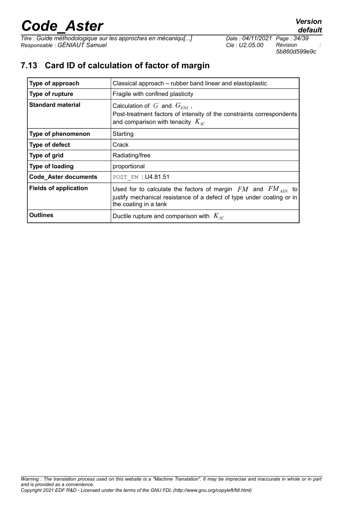*Titre : Guide méthodologique sur les approches en mécaniqu[...] Date : 04/11/2021 Page : 34/39 Responsable : GÉNIAUT Samuel Clé : U2.05.00 Révision :*

*5b860d599e9c*

*default*

## **7.13 Card ID of calculation of factor of margin**

| Type of approach             | Classical approach – rubber band linear and elastoplastic                                                                                                            |
|------------------------------|----------------------------------------------------------------------------------------------------------------------------------------------------------------------|
| Type of rupture              | Fragile with confined plasticity                                                                                                                                     |
| <b>Standard material</b>     | Calculation of G and $G_{\text{ENL}}$ ,<br>Post-treatment factors of intensity of the constraints correspondents<br>and comparison with tenacity $K_{IC}$            |
| Type of phenomenon           | Starting                                                                                                                                                             |
| Type of defect               | Crack                                                                                                                                                                |
| Type of grid                 | Radiating/free                                                                                                                                                       |
| <b>Type of loading</b>       | proportional                                                                                                                                                         |
| <b>Code_Aster documents</b>  | POST FM : U4.81.51                                                                                                                                                   |
| <b>Fields of application</b> | Used for to calculate the factors of margin $FM$ and $FM_{ASN}$ to<br>justify mechanical resistance of a defect of type under coating or in<br>the coating in a tank |
| Outlines                     | Ductile rupture and comparison with $K_{IC}$                                                                                                                         |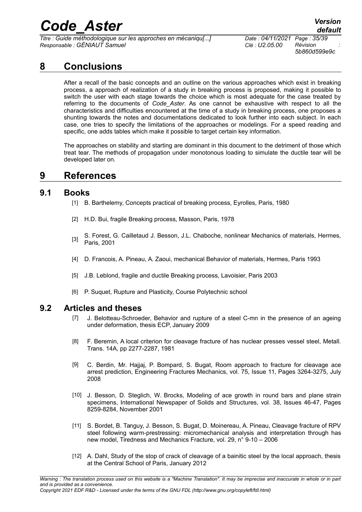*Titre : Guide méthodologique sur les approches en mécaniqu[...] Date : 04/11/2021 Page : 35/39 Responsable : GÉNIAUT Samuel Clé : U2.05.00 Révision :*

*default*

*5b860d599e9c*

### **8 Conclusions**

After a recall of the basic concepts and an outline on the various approaches which exist in breaking process, a approach of realization of a study in breaking process is proposed, making it possible to switch the user with each stage towards the choice which is most adequate for the case treated by referring to the documents of *Code\_Aster*. As one cannot be exhaustive with respect to all the characteristics and difficulties encountered at the time of a study in breaking process, one proposes a shunting towards the notes and documentations dedicated to look further into each subject. In each case, one tries to specify the limitations of the approaches or modelings. For a speed reading and specific, one adds tables which make it possible to target certain key information.

The approaches on stability and starting are dominant in this document to the detriment of those which treat tear. The methods of propagation under monotonous loading to simulate the ductile tear will be developed later on.

### **9 References**

#### **9.1 Books**

- [1] B. Barthelemy, Concepts practical of breaking process, Eyrolles, Paris, 1980
- [2] H.D. Bui, fragile Breaking process, Masson, Paris, 1978
- [3] S. Forest, G. Cailletaud J. Besson, J.L. Chaboche, nonlinear Mechanics of materials, Hermes, Paris, 2001
- [4] D. Francois, A. Pineau, A. Zaoui, mechanical Behavior of materials, Hermes, Paris 1993
- [5] J.B. Leblond, fragile and ductile Breaking process, Lavoisier, Paris 2003
- [6] P. Suquet, Rupture and Plasticity, Course Polytechnic school

#### **9.2 Articles and theses**

- <span id="page-34-4"></span>[7] J. Belotteau-Schroeder, Behavior and rupture of a steel C-mn in the presence of an ageing under deformation, thesis ECP, January 2009
- <span id="page-34-0"></span>[8] F. Beremin, A local criterion for cleavage fracture of has nuclear presses vessel steel, Metall. Trans. 14A, pp 2277-2287, 1981
- <span id="page-34-2"></span>[9] C. Berdin, Mr. Hajjaj, P. Bompard, S. Bugat, Room approach to fracture for cleavage ace arrest prediction, Engineering Fractures Mechanics, vol. 75, Issue 11, Pages 3264-3275, July 2008
- [10] J. Besson, D. Steglich, W. Brocks, Modeling of ace growth in round bars and plane strain specimens, International Newspaper of Solids and Structures, vol. 38, Issues 46-47, Pages 8259-8284, November 2001
- <span id="page-34-3"></span>[11] S. Bordet, B. Tanguy, J. Besson, S. Bugat, D. Moinereau, A. Pineau, Cleavage fracture of RPV steel following warm-prestressing: micromechanical analysis and interpretation through has new model, Tiredness and Mechanics Fracture, vol. 29, n° 9-10 – 2006
- <span id="page-34-1"></span>[12] A. Dahl, Study of the stop of crack of cleavage of a bainitic steel by the local approach, thesis at the Central School of Paris, January 2012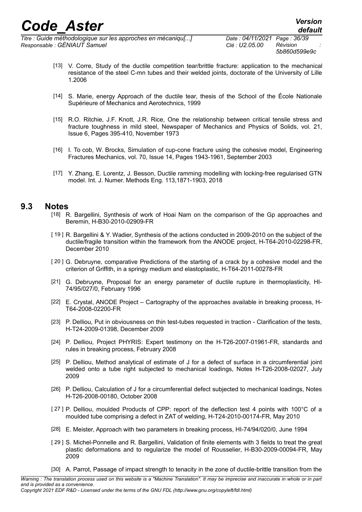*Titre : Guide méthodologique sur les approches en mécaniqu[...] Date : 04/11/2021 Page : 36/39 Responsable : GÉNIAUT Samuel Clé : U2.05.00 Révision :*

- [13] V. Corre, Study of the ductile competition tear/brittle fracture: application to the mechanical resistance of the steel C-mn tubes and their welded joints, doctorate of the University of Lille 1.2006
- [14] S. Marie, energy Approach of the ductile tear, thesis of the School of the École Nationale Supérieure of Mechanics and Aerotechnics, 1999
- <span id="page-35-3"></span>[15] R.O. Ritchie, J.F. Knott, J.R. Rice, One the relationship between critical tensile stress and fracture toughness in mild steel, Newspaper of Mechanics and Physics of Solids, vol. 21, Issue 6, Pages 395-410, November 1973
- [16] I. To cob, W. Brocks, Simulation of cup-cone fracture using the cohesive model, Engineering Fractures Mechanics, vol. 70, Issue 14, Pages 1943-1961, September 2003
- <span id="page-35-8"></span>[17] Y. Zhang, E. Lorentz, J. Besson, Ductile ramming modelling with locking-free regularised GTN model. Int. J. Numer. Methods Eng. 113,1871-1903, 2018

#### **9.3 Notes**

- <span id="page-35-6"></span>[18] R. Bargellini, Synthesis of work of Hoai Nam on the comparison of the Gp approaches and Beremin, H-B30-2010-02909-FR
- <span id="page-35-7"></span>[ 19 ] R. Bargellini & Y. Wadier, Synthesis of the actions conducted in 2009-2010 on the subject of the ductile/fragile transition within the framework from the ANODE project, H-T64-2010-02298-FR, December 2010
- <span id="page-35-2"></span>[ 20 ] G. Debruyne, comparative Predictions of the starting of a crack by a cohesive model and the criterion of Griffith, in a springy medium and elastoplastic, H-T64-2011-00278-FR
- [21] G. Debruyne, Proposal for an energy parameter of ductile rupture in thermoplasticity, HI-74/95/027/0, February 1996
- [22] E. Crystal, ANODE Project Cartography of the approaches available in breaking process, H-T64-2008-02200-FR
- [23] P. Delliou, Put in obviousness on thin test-tubes requested in traction Clarification of the tests, H-T24-2009-01398, December 2009
- <span id="page-35-0"></span>[24] P. Delliou, Project PHYRIS: Expert testimony on the H-T26-2007-01961-FR, standards and rules in breaking process, February 2008
- [25] P. Delliou, Method analytical of estimate of J for a defect of surface in a circumferential joint welded onto a tube right subjected to mechanical loadings, Notes H-T26-2008-02027, July 2009
- [26] P. Delliou, Calculation of J for a circumferential defect subjected to mechanical loadings, Notes H-T26-2008-00180, October 2008
- [27] P. Delliou, moulded Products of CPP: report of the deflection test 4 points with 100°C of a moulded tube comprising a defect in ZAT of welding, H-T24-2010-00174-FR, May 2010
- <span id="page-35-1"></span>[28] E. Meister, Approach with two parameters in breaking process, HI-74/94/020/0, June 1994
- <span id="page-35-5"></span>[ 29 ] S. Michel-Ponnelle and R. Bargellini, Validation of finite elements with 3 fields to treat the great plastic deformations and to regularize the model of Rousselier, H-B30-2009-00094-FR, May 2009
- <span id="page-35-4"></span>[30] A. Parrot, Passage of impact strength to tenacity in the zone of ductile-brittle transition from the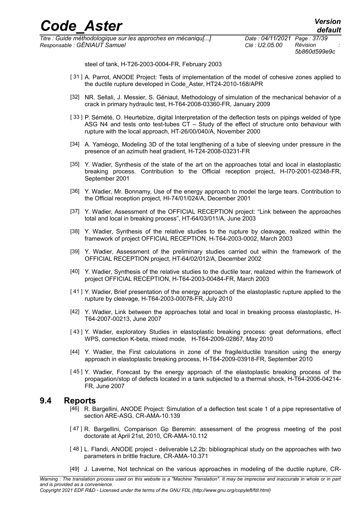*5b860d599e9c*

steel of tank, H-T26-2003-0004-FR, February 2003

- <span id="page-36-5"></span>[31] A. Parrot, ANODE Project: Tests of implementation of the model of cohesive zones applied to the ductile rupture developed in Code\_Aster, HT24-2010-168/APR
- [32] NR. Sellali, J. Messier, S. Géniaut, Methodology of simulation of the mechanical behavior of a crack in primary hydraulic test, H-T64-2008-03360-FR, January 2009
- <span id="page-36-4"></span>[ 33 ] P. Sémété, O. Heurtebize, digital Interpretation of the deflection tests on pipings welded of type ASG N4 and tests onto test-tubes CT – Study of the effect of structure onto behaviour with rupture with the local approach, HT-26/00/040/A, November 2000
- [34] A. Yaméogo, Modeling 3D of the total lengthening of a tube of sleeving under pressure in the presence of an azimuth heat gradient, H-T24-2008-03231-FR
- [35] Y. Wadier, Synthesis of the state of the art on the approaches total and local in elastoplastic breaking process. Contribution to the Official reception project, H-I70-2001-02348-FR, September 2001
- <span id="page-36-1"></span>[36] Y. Wadier, Mr. Bonnamy, Use of the energy approach to model the large tears. Contribution to the Official reception project, HI-74/01/024/A, December 2001
- [37] Y. Wadier, Assessment of the OFFICIAL RECEPTION project: "Link between the approaches total and local in breaking process", HT-64/03/011/A, June 2003
- <span id="page-36-8"></span>[38] Y. Wadier, Synthesis of the relative studies to the rupture by cleavage, realized within the framework of project OFFICIAL RECEPTION, H-T64-2003-0002, March 2003
- [39] Y. Wadier, Assessment of the preliminary studies carried out within the framework of the OFFICIAL RECEPTION project, HT-64/02/012/A, December 2002
- [40] Y. Wadier, Synthesis of the relative studies to the ductile tear, realized within the framework of project OFFICIAL RECEPTION, H-T64-2003-00484-FR, March 2003
- [ 41 ] Y. Wadier, Brief presentation of the energy approach of the elastoplastic rupture applied to the rupture by cleavage, H-T64-2003-00078-FR, July 2010
- <span id="page-36-7"></span>[42] Y. Wadier, Link between the approaches total and local in breaking process elastoplastic, H-T64-2007-00213, June 2007
- [ 43 ] Y. Wadier, exploratory Studies in elastoplastic breaking process: great deformations, effect WPS, correction K-beta, mixed mode, H-T64-2009-02867, May 2010
- [44] Y. Wadier, the First calculations in zone of the fragile/ductile transition using the energy approach in elastoplastic breaking process, H-T64-2009-03918-FR, September 2010
- <span id="page-36-6"></span>[ 45 ] Y. Wadier, Forecast by the energy approach of the elastoplastic breaking process of the propagation/stop of defects located in a tank subjected to a thermal shock, H-T64-2006-04214- FR, June 2007

#### **9.4 Reports**

- <span id="page-36-3"></span>[46] R. Bargellini, ANODE Project: Simulation of a deflection test scale 1 of a pipe representative of section ARE-ASG, CR-AMA-10.139
- [ 47 ] R. Bargellini, Comparison Gp Beremin: assessment of the progress meeting of the post doctorate at April 21st, 2010, CR-AMA-10.112
- <span id="page-36-0"></span>[ 48 ] L. Flandi, ANODE project - deliverable L2.2b: bibliographical study on the approaches with two parameters in brittle fracture, CR-AMA-10.371
- <span id="page-36-2"></span>[49] J. Laverne, Not technical on the various approaches in modeling of the ductile rupture, CR-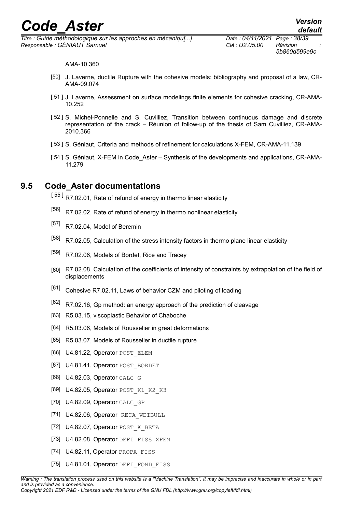*Titre : Guide méthodologique sur les approches en mécaniqu[...] Date : 04/11/2021 Page : 38/39 Responsable : GÉNIAUT Samuel Clé : U2.05.00 Révision :*

*5b860d599e9c*

AMA-10.360

- [50] J. Laverne, ductile Rupture with the cohesive models: bibliography and proposal of a law, CR-AMA-09.074
- [51] J. Laverne, Assessment on surface modelings finite elements for cohesive cracking, CR-AMA-10.252
- <span id="page-37-18"></span>[52] S. Michel-Ponnelle and S. Cuvilliez, Transition between continuous damage and discrete representation of the crack – Réunion of follow-up of the thesis of Sam Cuvilliez, CR-AMA-2010.366
- <span id="page-37-16"></span>[ 53 ] S. Géniaut, Criteria and methods of refinement for calculations X-FEM, CR-AMA-11.139
- <span id="page-37-15"></span>[54] S. Géniaut, X-FEM in Code Aster – Synthesis of the developments and applications, CR-AMA-11.279

### **9.5 Code\_Aster documentations**

<span id="page-37-3"></span>[55] R7.02.01, Rate of refund of energy in thermo linear elasticity

- <span id="page-37-2"></span>[56] R7.02.02, Rate of refund of energy in thermo nonlinear elasticity
- <span id="page-37-8"></span>[57] R7.02.04, Model of Beremin
- <span id="page-37-1"></span>[58] R7.02.05, Calculation of the stress intensity factors in thermo plane linear elasticity
- <span id="page-37-7"></span>[59] R7.02.06, Models of Bordet, Rice and Tracey
- <span id="page-37-0"></span>[60] R7.02.08, Calculation of the coefficients of intensity of constraints by extrapolation of the field of displacements
- <span id="page-37-17"></span>[61] Cohesive R7.02.11, Laws of behavior CZM and piloting of loading
- <span id="page-37-6"></span> $[62]$  R7.02.16, Gp method: an energy approach of the prediction of cleavage
- [63] R5.03.15, viscoplastic Behavior of Chaboche
- <span id="page-37-5"></span>[64] R5.03.06, Models of Rousselier in great deformations
- <span id="page-37-4"></span>[65] R5.03.07, Models of Rousselier in ductile rupture
- <span id="page-37-11"></span>[66] U4.81.22, Operator POST\_ELEM
- <span id="page-37-10"></span>[67] U4.81.41, Operator POST\_BORDET
- <span id="page-37-13"></span>[68] U4.82.03, Operator CALC\_G
- <span id="page-37-14"></span>[69] U4.82.05, Operator POST K1 K2 K3
- <span id="page-37-12"></span>[70] U4.82.09, Operator CALC GP
- [71] U4.82.06, Operator RECA WEIBULL
- <span id="page-37-9"></span>[72] U4.82.07, Operator POST K BETA
- [73] U4.82.08, Operator DEFI\_FISS\_XFEM
- [74] U4.82.11, Operator PROPA FISS
- [75] U4.81.01, Operator DEFI\_FOND\_FISS

*Warning : The translation process used on this website is a "Machine Translation". It may be imprecise and inaccurate in whole or in part and is provided as a convenience. Copyright 2021 EDF R&D - Licensed under the terms of the GNU FDL (http://www.gnu.org/copyleft/fdl.html)*